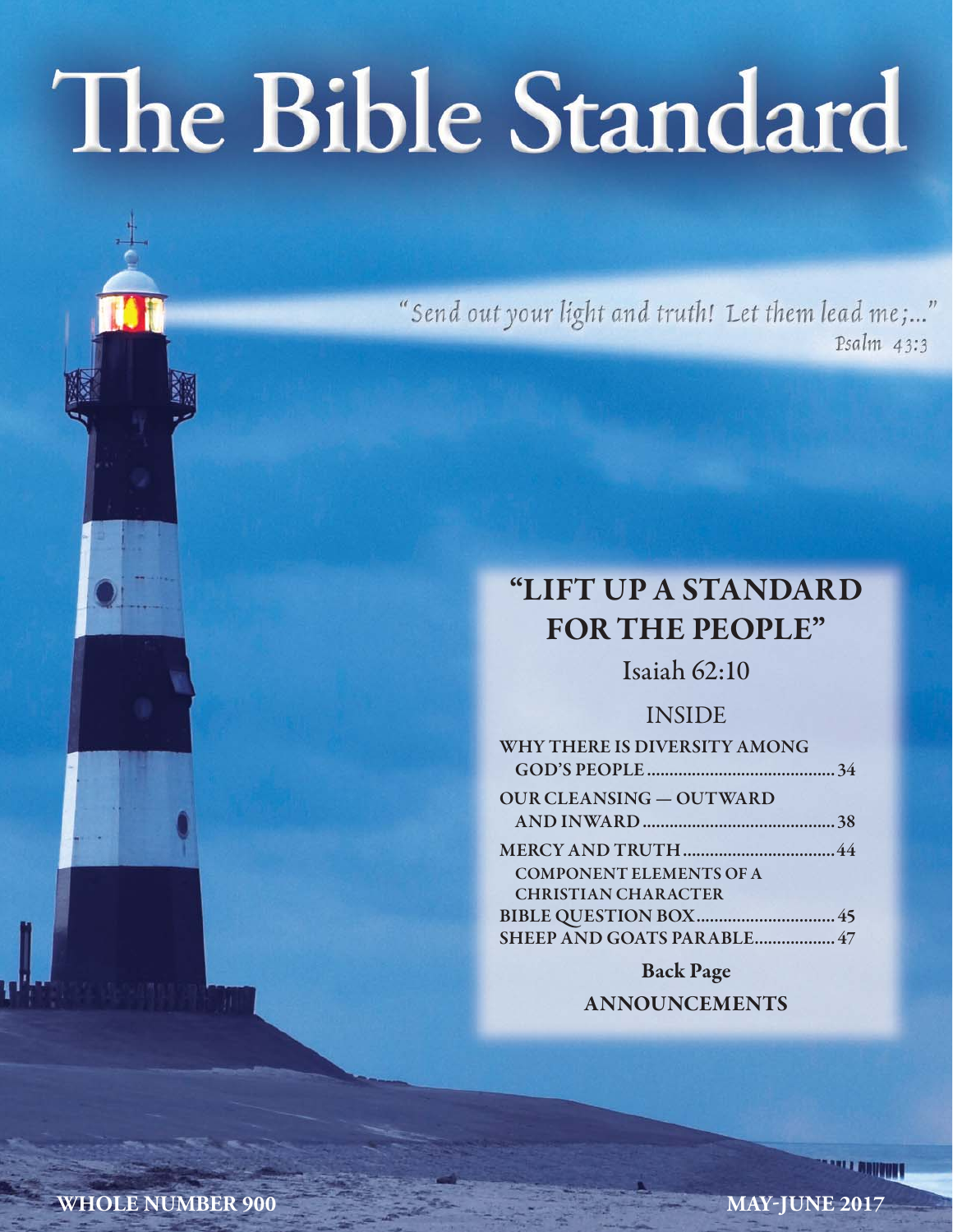# The Bible Standard

"Send out your light and truth! Let them lead me;..." Psalm 43:3

### **"LIFT UP A STANDARD FOR THE PEOPLE"**

Isaiah 62:10

#### INSIDE

| WHY THERE IS DIVERSITY AMONG   |  |
|--------------------------------|--|
| <b>OUR CLEANSING - OUTWARD</b> |  |
|                                |  |
|                                |  |
| <b>COMPONENT ELEMENTS OF A</b> |  |
| <b>CHRISTIAN CHARACTER</b>     |  |
|                                |  |
| SHEEP AND GOATS PARABLE 47     |  |
|                                |  |

**Back Page ANNOUNCEMENTS**

**WHOLE NUMBER 900 MAY-JUNE 2017**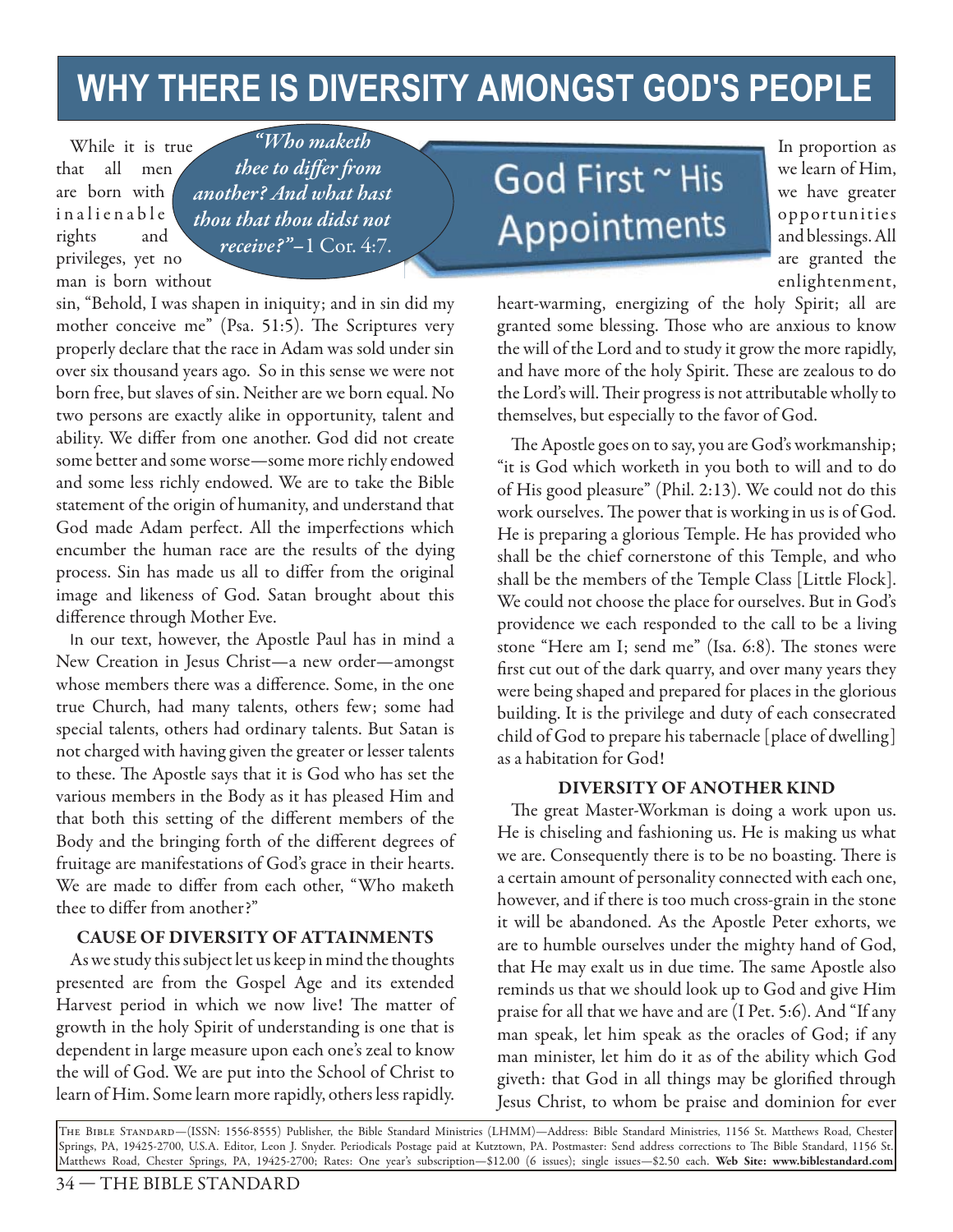# WHY THERE IS DIVERSITY AMONGST GOD'S PEOPLE

While it is true that all men are born with in alienable rights and privileges, yet no man is born without

*"Who maketh thee to differ from another? And what hast thou that thou didst not receive?"–*1 Cor. 4:7.

sin, "Behold, I was shapen in iniquity; and in sin did my mother conceive me" (Psa. 51:5). The Scriptures very properly declare that the race in Adam was sold under sin over six thousand years ago. So in this sense we were not born free, but slaves of sin. Neither are we born equal. No two persons are exactly alike in opportunity, talent and ability. We differ from one another. God did not create some better and some worse—some more richly endowed and some less richly endowed. We are to take the Bible statement of the origin of humanity, and understand that God made Adam perfect. All the imperfections which encumber the human race are the results of the dying process. Sin has made us all to differ from the original image and likeness of God. Satan brought about this difference through Mother Eve.

In our text, however, the Apostle Paul has in mind a New Creation in Jesus Christ—a new order—amongst whose members there was a difference. Some, in the one true Church, had many talents, others few; some had special talents, others had ordinary talents. But Satan is not charged with having given the greater or lesser talents to these. The Apostle says that it is God who has set the various members in the Body as it has pleased Him and that both this setting of the different members of the Body and the bringing forth of the different degrees of fruitage are manifestations of God's grace in their hearts. We are made to differ from each other, "Who maketh thee to differ from another?"

#### **CAUSE OF DIVERSITY OF ATTAINMENTS**

As we study this subject let us keep in mind the thoughts presented are from the Gospel Age and its extended Harvest period in which we now live! The matter of growth in the holy Spirit of understanding is one that is dependent in large measure upon each one's zeal to know the will of God. We are put into the School of Christ to learn of Him. Some learn more rapidly, others less rapidly.

# God First ~ His Appointments

In proportion as we learn of Him, we have greater opp or tun ities and blessings. All are granted the enlightenment,

heart-warming, energizing of the holy Spirit; all are granted some blessing. Those who are anxious to know the will of the Lord and to study it grow the more rapidly, and have more of the holy Spirit. These are zealous to do the Lord's will. Their progress is not attributable wholly to themselves, but especially to the favor of God.

The Apostle goes on to say, you are God's workmanship; "it is God which worketh in you both to will and to do of His good pleasure" (Phil. 2:13). We could not do this work ourselves. The power that is working in us is of God. He is preparing a glorious Temple. He has provided who shall be the chief cornerstone of this Temple, and who shall be the members of the Temple Class [Little Flock]. We could not choose the place for ourselves. But in God's providence we each responded to the call to be a living stone "Here am I; send me" (Isa. 6:8). The stones were first cut out of the dark quarry, and over many years they were being shaped and prepared for places in the glorious building. It is the privilege and duty of each consecrated child of God to prepare his tabernacle [place of dwelling] as a habitation for God!

#### **DIVERSITY OF ANOTHER KIND**

The great Master-Workman is doing a work upon us. He is chiseling and fashioning us. He is making us what we are. Consequently there is to be no boasting. There is a certain amount of personality connected with each one, however, and if there is too much cross-grain in the stone it will be abandoned. As the Apostle Peter exhorts, we are to humble ourselves under the mighty hand of God, that He may exalt us in due time. The same Apostle also reminds us that we should look up to God and give Him praise for all that we have and are (I Pet. 5:6). And "If any man speak, let him speak as the oracles of God; if any man minister, let him do it as of the ability which God giveth: that God in all things may be glorified through Jesus Christ, to whom be praise and dominion for ever

The Bible Standard—(ISSN: 1556-8555) Publisher, the Bible Standard Ministries (LHMM)—Address: Bible Standard Ministries, 1156 St. Matthews Road, Chester Springs, PA, 19425-2700, U.S.A. Editor, Leon J. Snyder. Periodicals Postage paid at Kutztown, PA. Postmaster: Send address corrections to Th e Bible Standard, 1156 St. Matthews Road, Chester Springs, PA, 19425-2700; Rates: One year's subscription—\$12.00 (6 issues); single issues—\$2.50 each. **Web Site: www.biblestandard.com**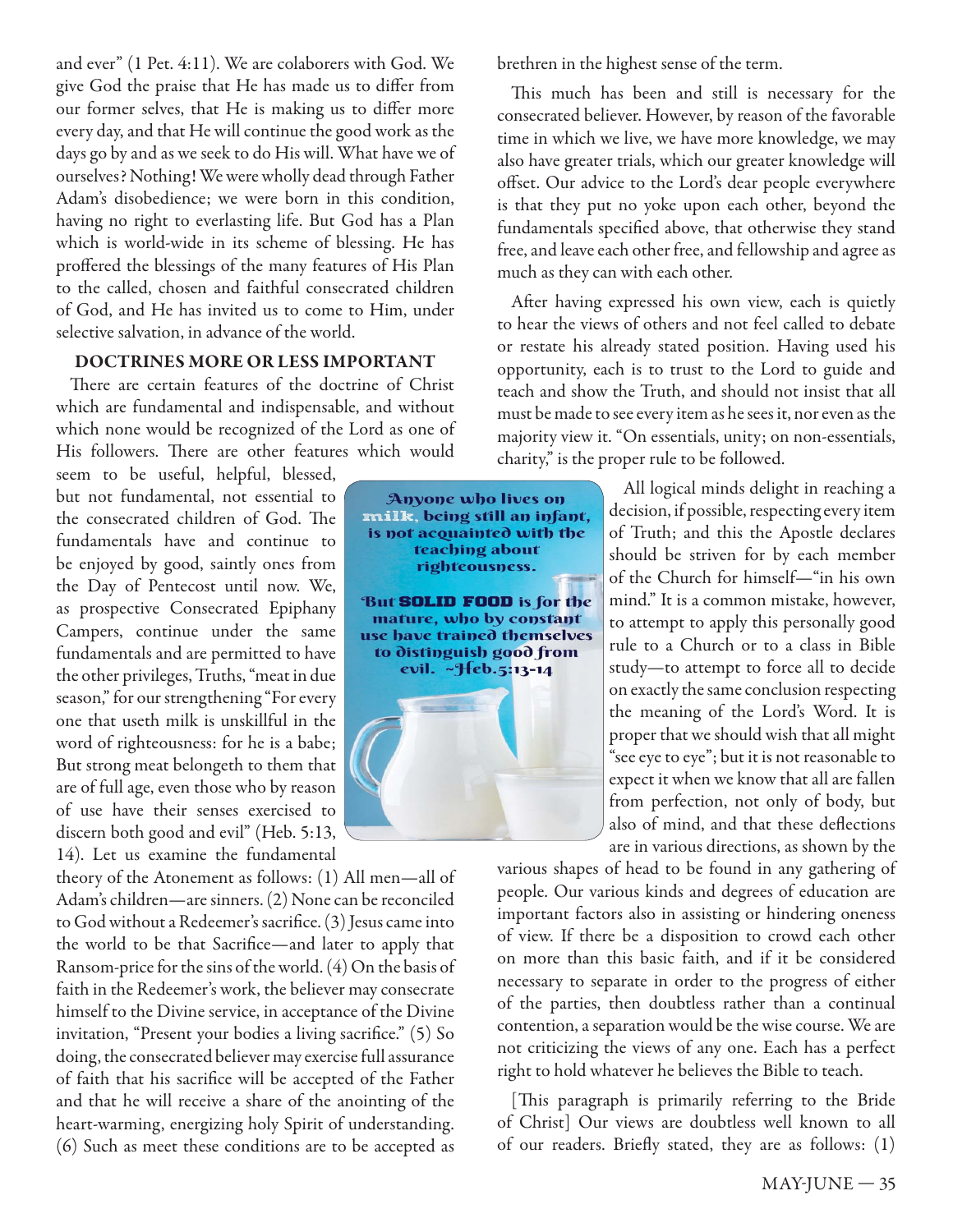and ever" (1 Pet. 4:11). We are colaborers with God. We give God the praise that He has made us to differ from our former selves, that He is making us to differ more every day, and that He will continue the good work as the days go by and as we seek to do His will. What have we of ourselves? Nothing! We were wholly dead through Father Adam's disobedience; we were born in this condition, having no right to everlasting life. But God has a Plan which is world-wide in its scheme of blessing. He has proffered the blessings of the many features of His Plan to the called, chosen and faithful consecrated children of God, and He has invited us to come to Him, under selective salvation, in advance of the world.

#### **DOCTRINES MORE OR LESS IMPORTANT**

There are certain features of the doctrine of Christ which are fundamental and indispensable, and without which none would be recognized of the Lord as one of His followers. There are other features which would

seem to be useful, helpful, blessed, but not fundamental, not essential to the consecrated children of God. The fundamentals have and continue to be enjoyed by good, saintly ones from the Day of Pentecost until now. We, as prospective Consecrated Epiphany Campers, continue under the same fundamentals and are permitted to have the other privileges, Truths, "meat in due season," for our strengthening "For every one that useth milk is unskillful in the word of righteousness: for he is a babe; But strong meat belongeth to them that are of full age, even those who by reason of use have their senses exercised to discern both good and evil" (Heb. 5:13, 14). Let us examine the fundamental

theory of the Atonement as follows: (1) All men—all of Adam's children—are sinners. (2) None can be reconciled to God without a Redeemer's sacrifice. (3) Jesus came into the world to be that Sacrifice—and later to apply that Ransom-price for the sins of the world. (4) On the basis of faith in the Redeemer's work, the believer may consecrate himself to the Divine service, in acceptance of the Divine invitation, "Present your bodies a living sacrifice." (5) So doing, the consecrated believer may exercise full assurance of faith that his sacrifice will be accepted of the Father and that he will receive a share of the anointing of the heart-warming, energizing holy Spirit of understanding. (6) Such as meet these conditions are to be accepted as

brethren in the highest sense of the term.

This much has been and still is necessary for the consecrated believer. However, by reason of the favorable time in which we live, we have more knowledge, we may also have greater trials, which our greater knowledge will offset. Our advice to the Lord's dear people everywhere is that they put no yoke upon each other, beyond the fundamentals specified above, that otherwise they stand free, and leave each other free, and fellowship and agree as much as they can with each other.

After having expressed his own view, each is quietly to hear the views of others and not feel called to debate or restate his already stated position. Having used his opportunity, each is to trust to the Lord to guide and teach and show the Truth, and should not insist that all must be made to see every item as he sees it, nor even as the majority view it. "On essentials, unity; on non-essentials, charity," is the proper rule to be followed.

> All logical minds delight in reaching a decision, if possible, respecting every item of Truth; and this the Apostle declares should be striven for by each member of the Church for himself—"in his own mind." It is a common mistake, however, to attempt to apply this personally good rule to a Church or to a class in Bible study—to attempt to force all to decide on exactly the same conclusion respecting the meaning of the Lord's Word. It is proper that we should wish that all might "see eye to eye"; but it is not reasonable to expect it when we know that all are fallen from perfection, not only of body, but also of mind, and that these deflections are in various directions, as shown by the

various shapes of head to be found in any gathering of people. Our various kinds and degrees of education are important factors also in assisting or hindering oneness of view. If there be a disposition to crowd each other on more than this basic faith, and if it be considered necessary to separate in order to the progress of either of the parties, then doubtless rather than a continual contention, a separation would be the wise course. We are not criticizing the views of any one. Each has a perfect right to hold whatever he believes the Bible to teach.

[This paragraph is primarily referring to the Bride of Christ] Our views are doubtless well known to all of our readers. Briefly stated, they are as follows:  $(1)$ 

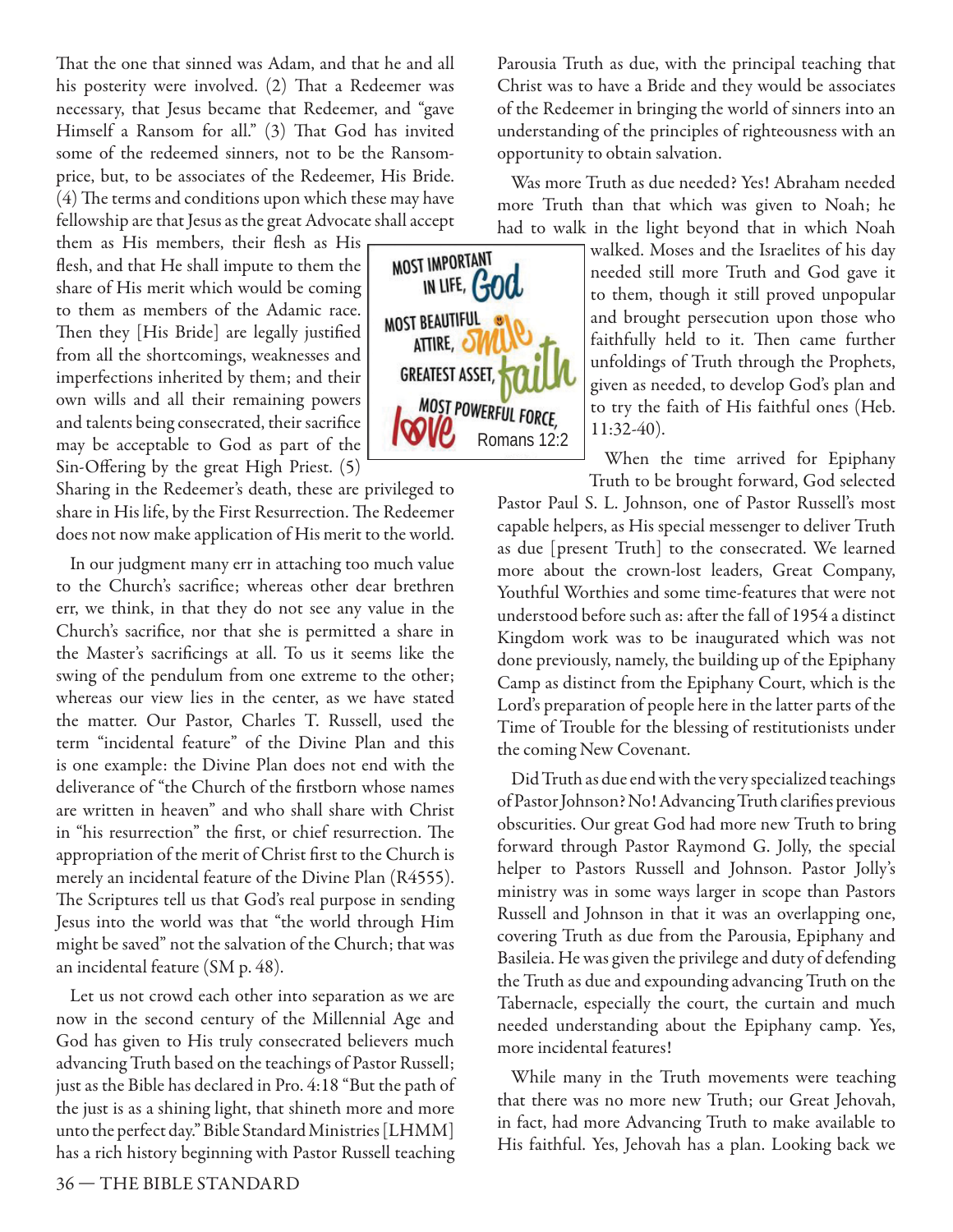That the one that sinned was Adam, and that he and all his posterity were involved. (2) That a Redeemer was necessary, that Jesus became that Redeemer, and "gave Himself a Ransom for all." (3) That God has invited some of the redeemed sinners, not to be the Ransomprice, but, to be associates of the Redeemer, His Bride.  $(4)$  The terms and conditions upon which these may have fellowship are that Jesus as the great Advocate shall accept

them as His members, their flesh as His flesh, and that He shall impute to them the share of His merit which would be coming to them as members of the Adamic race. Then they [His Bride] are legally justified from all the shortcomings, weaknesses and imperfections inherited by them; and their own wills and all their remaining powers and talents being consecrated, their sacrifice may be acceptable to God as part of the Sin-Offering by the great High Priest. (5)

Sharing in the Redeemer's death, these are privileged to share in His life, by the First Resurrection. The Redeemer does not now make application of His merit to the world.

In our judgment many err in attaching too much value to the Church's sacrifice; whereas other dear brethren err, we think, in that they do not see any value in the Church's sacrifice, nor that she is permitted a share in the Master's sacrificings at all. To us it seems like the swing of the pendulum from one extreme to the other; whereas our view lies in the center, as we have stated the matter. Our Pastor, Charles T. Russell, used the term "incidental feature" of the Divine Plan and this is one example: the Divine Plan does not end with the deliverance of "the Church of the firstborn whose names are written in heaven" and who shall share with Christ in "his resurrection" the first, or chief resurrection. The appropriation of the merit of Christ first to the Church is merely an incidental feature of the Divine Plan (R4555). The Scriptures tell us that God's real purpose in sending Jesus into the world was that "the world through Him might be saved" not the salvation of the Church; that was an incidental feature (SM p. 48).

Let us not crowd each other into separation as we are now in the second century of the Millennial Age and God has given to His truly consecrated believers much advancing Truth based on the teachings of Pastor Russell; just as the Bible has declared in Pro. 4:18 "But the path of the just is as a shining light, that shineth more and more unto the perfect day." Bible Standard Ministries [LHMM] has a rich history beginning with Pastor Russell teaching



Parousia Truth as due, with the principal teaching that Christ was to have a Bride and they would be associates of the Redeemer in bringing the world of sinners into an understanding of the principles of righteousness with an opportunity to obtain salvation.

Was more Truth as due needed? Yes! Abraham needed more Truth than that which was given to Noah; he had to walk in the light beyond that in which Noah

> walked. Moses and the Israelites of his day needed still more Truth and God gave it to them, though it still proved unpopular and brought persecution upon those who faithfully held to it. Then came further unfoldings of Truth through the Prophets, given as needed, to develop God's plan and to try the faith of His faithful ones (Heb. 11:32-40).

 When the time arrived for Epiphany Truth to be brought forward, God selected

Pastor Paul S. L. Johnson, one of Pastor Russell's most capable helpers, as His special messenger to deliver Truth as due [present Truth] to the consecrated. We learned more about the crown-lost leaders, Great Company, Youthful Worthies and some time-features that were not understood before such as: after the fall of 1954 a distinct Kingdom work was to be inaugurated which was not done previously, namely, the building up of the Epiphany Camp as distinct from the Epiphany Court, which is the Lord's preparation of people here in the latter parts of the Time of Trouble for the blessing of restitutionists under the coming New Covenant.

Did Truth as due end with the very specialized teachings of Pastor Johnson? No! Advancing Truth clarifies previous obscurities. Our great God had more new Truth to bring forward through Pastor Raymond G. Jolly, the special helper to Pastors Russell and Johnson. Pastor Jolly's ministry was in some ways larger in scope than Pastors Russell and Johnson in that it was an overlapping one, covering Truth as due from the Parousia, Epiphany and Basileia. He was given the privilege and duty of defending the Truth as due and expounding advancing Truth on the Tabernacle, especially the court, the curtain and much needed understanding about the Epiphany camp. Yes, more incidental features!

While many in the Truth movements were teaching that there was no more new Truth; our Great Jehovah, in fact, had more Advancing Truth to make available to His faithful. Yes, Jehovah has a plan. Looking back we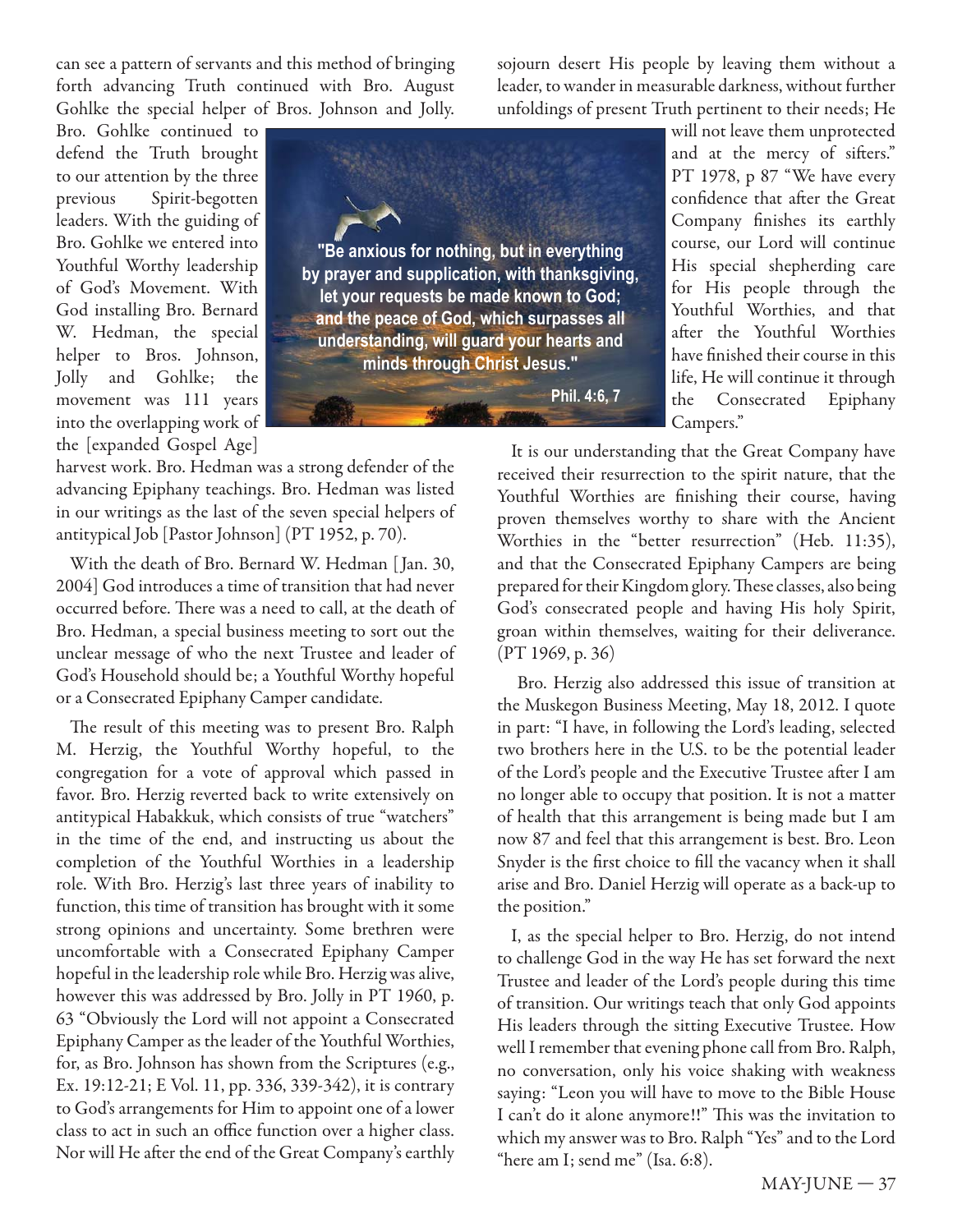can see a pattern of servants and this method of bringing forth advancing Truth continued with Bro. August Gohlke the special helper of Bros. Johnson and Jolly.

Bro. Gohlke continued to defend the Truth brought to our attention by the three previous Spirit-begotten leaders. With the guiding of Bro. Gohlke we entered into Youthful Worthy leadership of God's Movement. With God installing Bro. Bernard W. Hedman, the special helper to Bros. Johnson, Jolly and Gohlke; the movement was 111 years into the overlapping work of the [expanded Gospel Age]

harvest work. Bro. Hedman was a strong defender of the advancing Epiphany teachings. Bro. Hedman was listed in our writings as the last of the seven special helpers of antitypical Job [Pastor Johnson] (PT 1952, p. 70).

With the death of Bro. Bernard W. Hedman [ Jan. 30, 2004] God introduces a time of transition that had never occurred before. There was a need to call, at the death of Bro. Hedman, a special business meeting to sort out the unclear message of who the next Trustee and leader of God's Household should be; a Youthful Worthy hopeful or a Consecrated Epiphany Camper candidate.

The result of this meeting was to present Bro. Ralph M. Herzig, the Youthful Worthy hopeful, to the congregation for a vote of approval which passed in favor. Bro. Herzig reverted back to write extensively on antitypical Habakkuk, which consists of true "watchers" in the time of the end, and instructing us about the completion of the Youthful Worthies in a leadership role. With Bro. Herzig's last three years of inability to function, this time of transition has brought with it some strong opinions and uncertainty. Some brethren were uncomfortable with a Consecrated Epiphany Camper hopeful in the leadership role while Bro. Herzig was alive, however this was addressed by Bro. Jolly in PT 1960, p. 63 "Obviously the Lord will not appoint a Consecrated Epiphany Camper as the leader of the Youthful Worthies, for, as Bro. Johnson has shown from the Scriptures (e.g., Ex. 19:12-21; E Vol. 11, pp. 336, 339-342), it is contrary to God's arrangements for Him to appoint one of a lower class to act in such an office function over a higher class. Nor will He after the end of the Great Company's earthly

sojourn desert His people by leaving them without a leader, to wander in measurable darkness, without further unfoldings of present Truth pertinent to their needs; He



will not leave them unprotected and at the mercy of sifters." PT 1978, p 87 "We have every confidence that after the Great Company finishes its earthly course, our Lord will continue His special shepherding care for His people through the Youthful Worthies, and that after the Youthful Worthies have finished their course in this life, He will continue it through the Consecrated Epiphany Campers."

It is our understanding that the Great Company have received their resurrection to the spirit nature, that the Youthful Worthies are finishing their course, having proven themselves worthy to share with the Ancient Worthies in the "better resurrection" (Heb. 11:35), and that the Consecrated Epiphany Campers are being prepared for their Kingdom glory. These classes, also being God's consecrated people and having His holy Spirit, groan within themselves, waiting for their deliverance. (PT 1969, p. 36)

 Bro. Herzig also addressed this issue of transition at the Muskegon Business Meeting, May 18, 2012. I quote in part: "I have, in following the Lord's leading, selected two brothers here in the U.S. to be the potential leader of the Lord's people and the Executive Trustee after I am no longer able to occupy that position. It is not a matter of health that this arrangement is being made but I am now 87 and feel that this arrangement is best. Bro. Leon Snyder is the first choice to fill the vacancy when it shall arise and Bro. Daniel Herzig will operate as a back-up to the position."

I, as the special helper to Bro. Herzig, do not intend to challenge God in the way He has set forward the next Trustee and leader of the Lord's people during this time of transition. Our writings teach that only God appoints His leaders through the sitting Executive Trustee. How well I remember that evening phone call from Bro. Ralph, no conversation, only his voice shaking with weakness saying: "Leon you will have to move to the Bible House I can't do it alone anymore!!" This was the invitation to which my answer was to Bro. Ralph "Yes" and to the Lord "here am I; send me" (Isa. 6:8).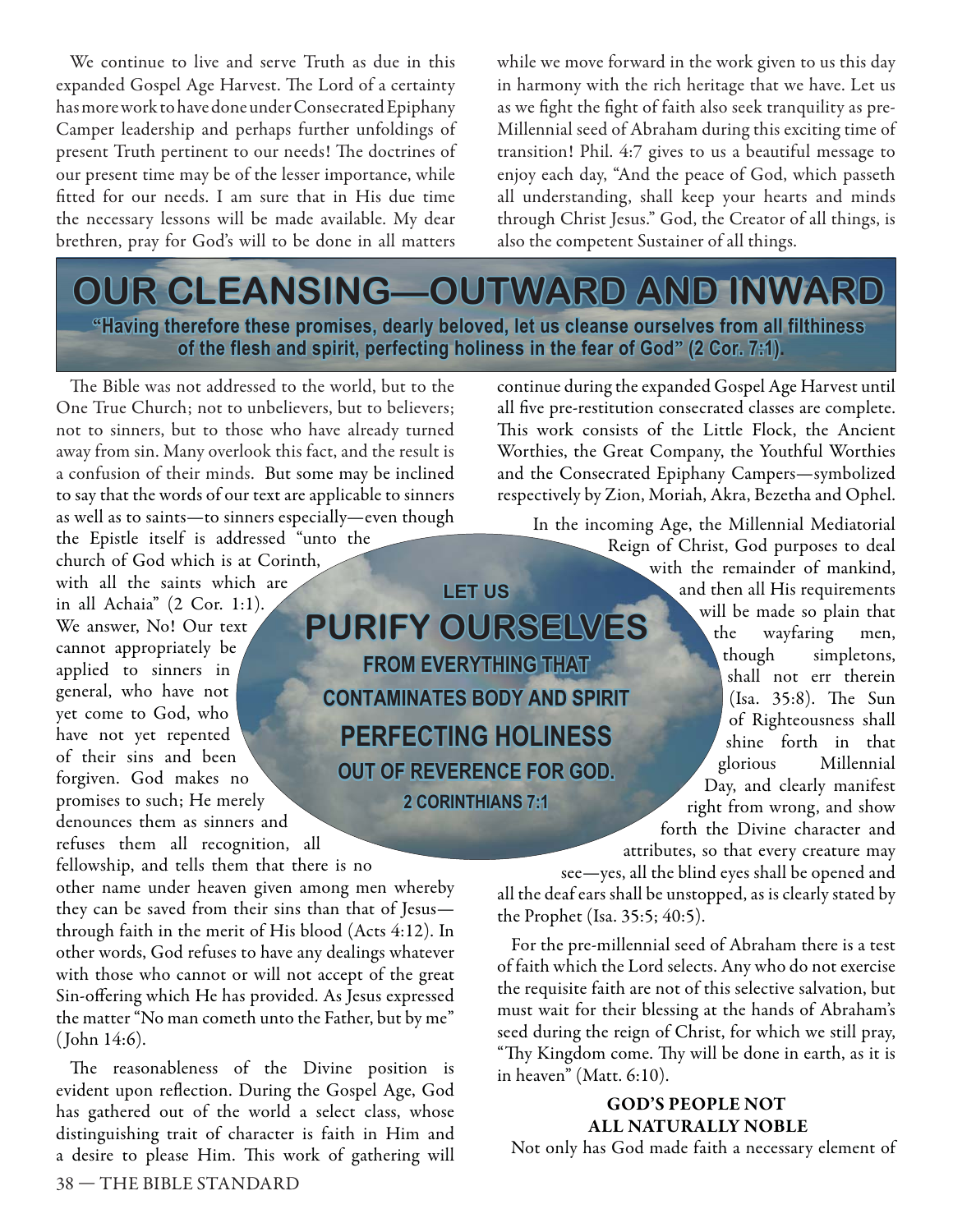We continue to live and serve Truth as due in this expanded Gospel Age Harvest. The Lord of a certainty has more work to have done under Consecrated Epiphany Camper leadership and perhaps further unfoldings of present Truth pertinent to our needs! The doctrines of our present time may be of the lesser importance, while fitted for our needs. I am sure that in His due time the necessary lessons will be made available. My dear brethren, pray for God's will to be done in all matters

while we move forward in the work given to us this day in harmony with the rich heritage that we have. Let us as we fight the fight of faith also seek tranquility as pre-Millennial seed of Abraham during this exciting time of transition! Phil. 4:7 gives to us a beautiful message to enjoy each day, "And the peace of God, which passeth all understanding, shall keep your hearts and minds through Christ Jesus." God, the Creator of all things, is also the competent Sustainer of all things.

# **OUR CLEANSING—OUTWARD AND INWARD**

"Having therefore these promises, dearly beloved, let us cleanse ourselves from all filthiness of the flesh and spirit, perfecting holiness in the fear of God" (2 Cor. 7:1).

**LET US**

**PURIFY OURSELVES** 

**FROM EVERYTHING THAT** 

**CONTAMINATES BODY AND SPIRIT** 

**PERFECTING HOLINESS** 

**OUT OF REVERENCE FOR GOD. 2 CORINTHIANS 7:1** 

The Bible was not addressed to the world, but to the One True Church; not to unbelievers, but to believers; not to sinners, but to those who have already turned away from sin. Many overlook this fact, and the result is a confusion of their minds. But some may be inclined to say that the words of our text are applicable to sinners as well as to saints—to sinners especially—even though

the Epistle itself is addressed "unto the church of God which is at Corinth, with all the saints which are in all Achaia" (2 Cor. 1:1). We answer, No! Our text cannot appropriately be applied to sinners in general, who have not yet come to God, who have not yet repented of their sins and been forgiven. God makes no promises to such; He merely denounces them as sinners and refuses them all recognition, all

fellowship, and tells them that there is no other name under heaven given among men whereby they can be saved from their sins than that of Jesus through faith in the merit of His blood (Acts 4:12). In other words, God refuses to have any dealings whatever with those who cannot or will not accept of the great Sin-offering which He has provided. As Jesus expressed the matter "No man cometh unto the Father, but by me" ( John 14:6).

The reasonableness of the Divine position is evident upon reflection. During the Gospel Age, God has gathered out of the world a select class, whose distinguishing trait of character is faith in Him and a desire to please Him. This work of gathering will

continue during the expanded Gospel Age Harvest until all five pre-restitution consecrated classes are complete. This work consists of the Little Flock, the Ancient Worthies, the Great Company, the Youthful Worthies and the Consecrated Epiphany Campers—symbolized respectively by Zion, Moriah, Akra, Bezetha and Ophel.

In the incoming Age, the Millennial Mediatorial

Reign of Christ, God purposes to deal with the remainder of mankind, and then all His requirements will be made so plain that the wayfaring men, though simpletons, shall not err therein  $(Isa. 35:8)$ . The Sun of Righteousness shall shine forth in that glorious Millennial Day, and clearly manifest right from wrong, and show forth the Divine character and attributes, so that every creature may

see—yes, all the blind eyes shall be opened and all the deaf ears shall be unstopped, as is clearly stated by the Prophet (Isa. 35:5; 40:5).

For the pre-millennial seed of Abraham there is a test of faith which the Lord selects. Any who do not exercise the requisite faith are not of this selective salvation, but must wait for their blessing at the hands of Abraham's seed during the reign of Christ, for which we still pray, "Thy Kingdom come. Thy will be done in earth, as it is in heaven" (Matt. 6:10).

#### **GOD'S PEOPLE NOT ALL NATURALLY NOBLE**

Not only has God made faith a necessary element of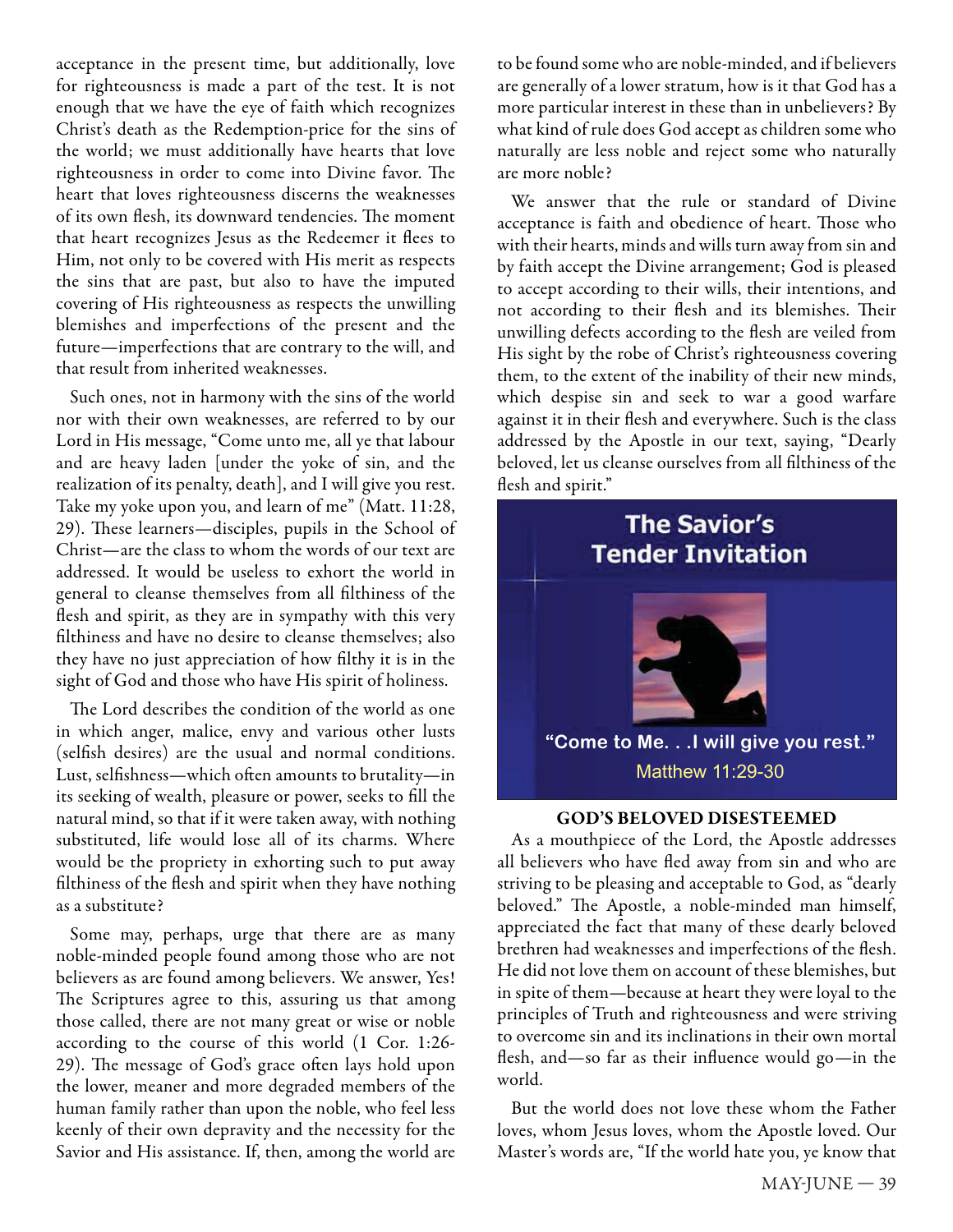acceptance in the present time, but additionally, love for righteousness is made a part of the test. It is not enough that we have the eye of faith which recognizes Christ's death as the Redemption-price for the sins of the world; we must additionally have hearts that love righteousness in order to come into Divine favor. The heart that loves righteousness discerns the weaknesses of its own flesh, its downward tendencies. The moment that heart recognizes Jesus as the Redeemer it flees to Him, not only to be covered with His merit as respects the sins that are past, but also to have the imputed covering of His righteousness as respects the unwilling blemishes and imperfections of the present and the future—imperfections that are contrary to the will, and that result from inherited weaknesses.

Such ones, not in harmony with the sins of the world nor with their own weaknesses, are referred to by our Lord in His message, "Come unto me, all ye that labour and are heavy laden [under the yoke of sin, and the realization of its penalty, death], and I will give you rest. Take my yoke upon you, and learn of me" (Matt. 11:28, 29). These learners-disciples, pupils in the School of Christ—are the class to whom the words of our text are addressed. It would be useless to exhort the world in general to cleanse themselves from all filthiness of the flesh and spirit, as they are in sympathy with this very filthiness and have no desire to cleanse themselves; also they have no just appreciation of how filthy it is in the sight of God and those who have His spirit of holiness.

The Lord describes the condition of the world as one in which anger, malice, envy and various other lusts (selfish desires) are the usual and normal conditions. Lust, selfishness—which often amounts to brutality—in its seeking of wealth, pleasure or power, seeks to fill the natural mind, so that if it were taken away, with nothing substituted, life would lose all of its charms. Where would be the propriety in exhorting such to put away filthiness of the flesh and spirit when they have nothing as a substitute?

Some may, perhaps, urge that there are as many noble-minded people found among those who are not believers as are found among believers. We answer, Yes! The Scriptures agree to this, assuring us that among those called, there are not many great or wise or noble according to the course of this world (1 Cor. 1:26- 29). The message of God's grace often lays hold upon the lower, meaner and more degraded members of the human family rather than upon the noble, who feel less keenly of their own depravity and the necessity for the Savior and His assistance. If, then, among the world are

to be found some who are noble-minded, and if believers are generally of a lower stratum, how is it that God has a more particular interest in these than in unbelievers? By what kind of rule does God accept as children some who naturally are less noble and reject some who naturally are more noble?

We answer that the rule or standard of Divine acceptance is faith and obedience of heart. Those who with their hearts, minds and wills turn away from sin and by faith accept the Divine arrangement; God is pleased to accept according to their wills, their intentions, and not according to their flesh and its blemishes. Their unwilling defects according to the flesh are veiled from His sight by the robe of Christ's righteousness covering them, to the extent of the inability of their new minds, which despise sin and seek to war a good warfare against it in their flesh and everywhere. Such is the class addressed by the Apostle in our text, saying, "Dearly beloved, let us cleanse ourselves from all filthiness of the flesh and spirit."

# **The Savior's Tender Invitation "Come to Me. . .I will give you rest."** Matthew 11:29-30

#### **GOD'S BELOVED DISESTEEMED**

As a mouthpiece of the Lord, the Apostle addresses all believers who have fled away from sin and who are striving to be pleasing and acceptable to God, as "dearly beloved." The Apostle, a noble-minded man himself, appreciated the fact that many of these dearly beloved brethren had weaknesses and imperfections of the flesh. He did not love them on account of these blemishes, but in spite of them—because at heart they were loyal to the principles of Truth and righteousness and were striving to overcome sin and its inclinations in their own mortal flesh, and—so far as their influence would go—in the world.

But the world does not love these whom the Father loves, whom Jesus loves, whom the Apostle loved. Our Master's words are, "If the world hate you, ye know that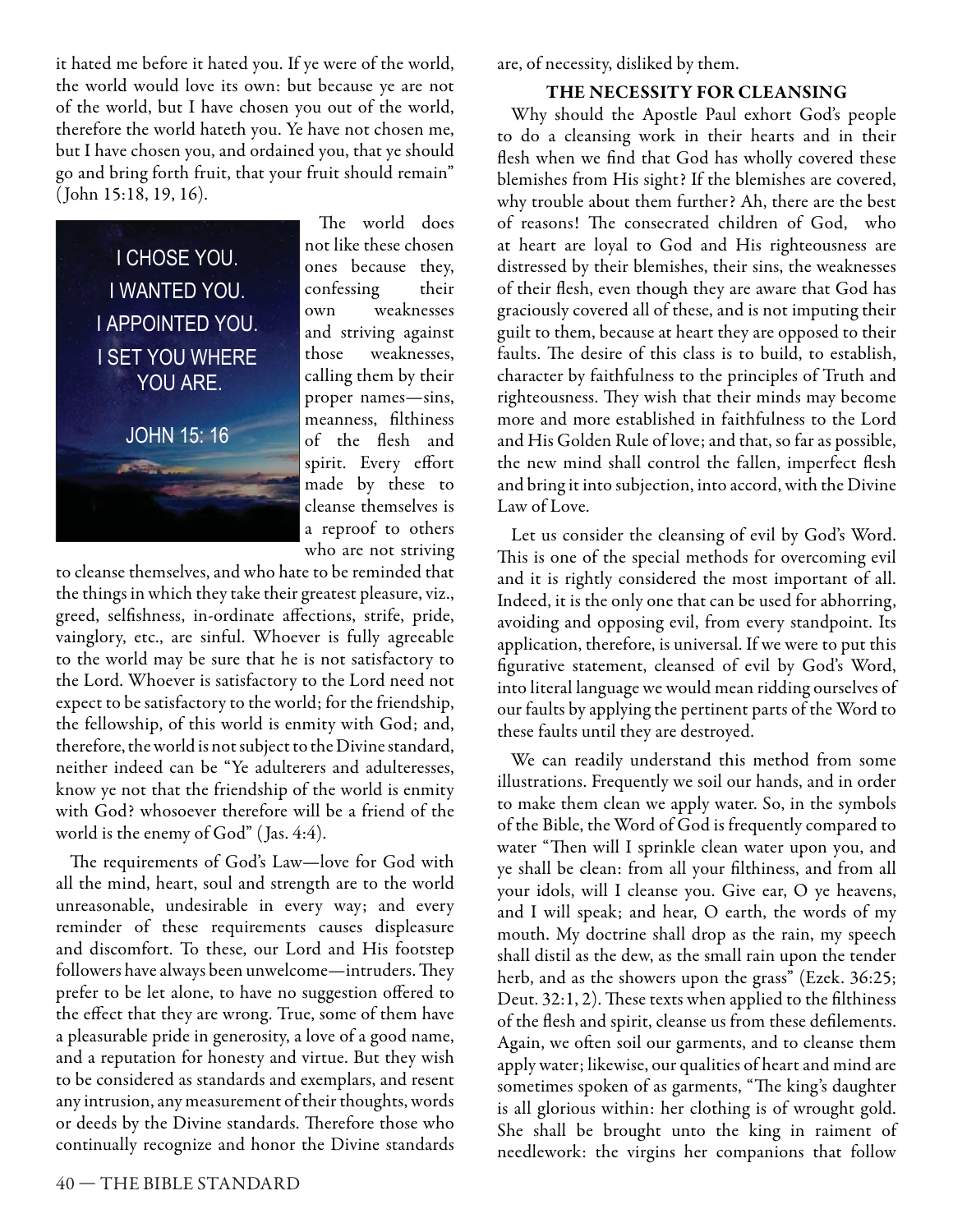it hated me before it hated you. If ye were of the world, the world would love its own: but because ye are not of the world, but I have chosen you out of the world, therefore the world hateth you. Ye have not chosen me, but I have chosen you, and ordained you, that ye should go and bring forth fruit, that your fruit should remain" ( John 15:18, 19, 16).



The world does not like these chosen ones because they, confessing their own weaknesses and striving against those weaknesses, calling them by their proper names—sins, meanness, filthiness of the flesh and spirit. Every effort made by these to cleanse themselves is a reproof to others who are not striving

to cleanse themselves, and who hate to be reminded that the things in which they take their greatest pleasure, viz., greed, selfishness, in-ordinate affections, strife, pride, vainglory, etc., are sinful. Whoever is fully agreeable to the world may be sure that he is not satisfactory to the Lord. Whoever is satisfactory to the Lord need not expect to be satisfactory to the world; for the friendship, the fellowship, of this world is enmity with God; and, therefore, the world is not subject to the Divine standard, neither indeed can be "Ye adulterers and adulteresses, know ye not that the friendship of the world is enmity with God? whosoever therefore will be a friend of the world is the enemy of God" ( Jas. 4:4).

The requirements of God's Law—love for God with all the mind, heart, soul and strength are to the world unreasonable, undesirable in every way; and every reminder of these requirements causes displeasure and discomfort. To these, our Lord and His footstep followers have always been unwelcome—intruders. They prefer to be let alone, to have no suggestion offered to the effect that they are wrong. True, some of them have a pleasurable pride in generosity, a love of a good name, and a reputation for honesty and virtue. But they wish to be considered as standards and exemplars, and resent any intrusion, any measurement of their thoughts, words or deeds by the Divine standards. Therefore those who continually recognize and honor the Divine standards

are, of necessity, disliked by them.

#### **THE NECESSITY FOR CLEANSING**

Why should the Apostle Paul exhort God's people to do a cleansing work in their hearts and in their flesh when we find that God has wholly covered these blemishes from His sight? If the blemishes are covered, why trouble about them further? Ah, there are the best of reasons! The consecrated children of God, who at heart are loyal to God and His righteousness are distressed by their blemishes, their sins, the weaknesses of their flesh, even though they are aware that God has graciously covered all of these, and is not imputing their guilt to them, because at heart they are opposed to their faults. The desire of this class is to build, to establish, character by faithfulness to the principles of Truth and righteousness. They wish that their minds may become more and more established in faithfulness to the Lord and His Golden Rule of love; and that, so far as possible, the new mind shall control the fallen, imperfect flesh and bring it into subjection, into accord, with the Divine Law of Love.

Let us consider the cleansing of evil by God's Word. This is one of the special methods for overcoming evil and it is rightly considered the most important of all. Indeed, it is the only one that can be used for abhorring, avoiding and opposing evil, from every standpoint. Its application, therefore, is universal. If we were to put this figurative statement, cleansed of evil by God's Word, into literal language we would mean ridding ourselves of our faults by applying the pertinent parts of the Word to these faults until they are destroyed.

We can readily understand this method from some illustrations. Frequently we soil our hands, and in order to make them clean we apply water. So, in the symbols of the Bible, the Word of God is frequently compared to water "Then will I sprinkle clean water upon you, and ye shall be clean: from all your filthiness, and from all your idols, will I cleanse you. Give ear, O ye heavens, and I will speak; and hear, O earth, the words of my mouth. My doctrine shall drop as the rain, my speech shall distil as the dew, as the small rain upon the tender herb, and as the showers upon the grass" (Ezek. 36:25; Deut. 32:1, 2). These texts when applied to the filthiness of the flesh and spirit, cleanse us from these defilements. Again, we often soil our garments, and to cleanse them apply water; likewise, our qualities of heart and mind are sometimes spoken of as garments, "The king's daughter is all glorious within: her clothing is of wrought gold. She shall be brought unto the king in raiment of needlework: the virgins her companions that follow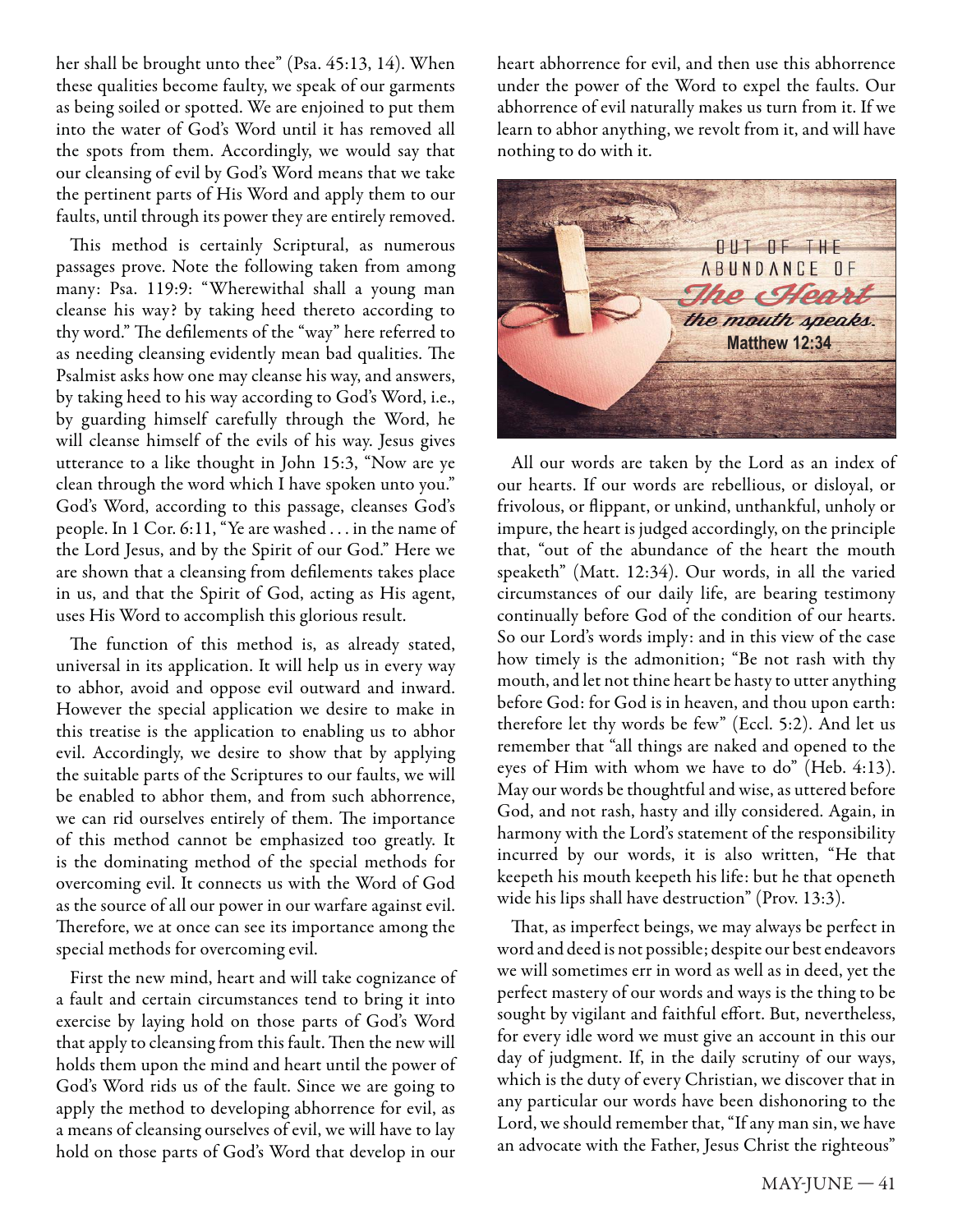her shall be brought unto thee" (Psa. 45:13, 14). When these qualities become faulty, we speak of our garments as being soiled or spotted. We are enjoined to put them into the water of God's Word until it has removed all the spots from them. Accordingly, we would say that our cleansing of evil by God's Word means that we take the pertinent parts of His Word and apply them to our faults, until through its power they are entirely removed.

This method is certainly Scriptural, as numerous passages prove. Note the following taken from among many: Psa. 119:9: "Wherewithal shall a young man cleanse his way? by taking heed thereto according to thy word." The defilements of the "way" here referred to as needing cleansing evidently mean bad qualities. The Psalmist asks how one may cleanse his way, and answers, by taking heed to his way according to God's Word, i.e., by guarding himself carefully through the Word, he will cleanse himself of the evils of his way. Jesus gives utterance to a like thought in John 15:3, "Now are ye clean through the word which I have spoken unto you." God's Word, according to this passage, cleanses God's people. In 1 Cor. 6:11, "Ye are washed . . . in the name of the Lord Jesus, and by the Spirit of our God." Here we are shown that a cleansing from defilements takes place in us, and that the Spirit of God, acting as His agent, uses His Word to accomplish this glorious result.

The function of this method is, as already stated, universal in its application. It will help us in every way to abhor, avoid and oppose evil outward and inward. However the special application we desire to make in this treatise is the application to enabling us to abhor evil. Accordingly, we desire to show that by applying the suitable parts of the Scriptures to our faults, we will be enabled to abhor them, and from such abhorrence, we can rid ourselves entirely of them. The importance of this method cannot be emphasized too greatly. It is the dominating method of the special methods for overcoming evil. It connects us with the Word of God as the source of all our power in our warfare against evil. Therefore, we at once can see its importance among the special methods for overcoming evil.

First the new mind, heart and will take cognizance of a fault and certain circumstances tend to bring it into exercise by laying hold on those parts of God's Word that apply to cleansing from this fault. Then the new will holds them upon the mind and heart until the power of God's Word rids us of the fault. Since we are going to apply the method to developing abhorrence for evil, as a means of cleansing ourselves of evil, we will have to lay hold on those parts of God's Word that develop in our

heart abhorrence for evil, and then use this abhorrence under the power of the Word to expel the faults. Our abhorrence of evil naturally makes us turn from it. If we learn to abhor anything, we revolt from it, and will have nothing to do with it.



All our words are taken by the Lord as an index of our hearts. If our words are rebellious, or disloyal, or frivolous, or flippant, or unkind, unthankful, unholy or impure, the heart is judged accordingly, on the principle that, "out of the abundance of the heart the mouth speaketh" (Matt. 12:34). Our words, in all the varied circumstances of our daily life, are bearing testimony continually before God of the condition of our hearts. So our Lord's words imply: and in this view of the case how timely is the admonition; "Be not rash with thy mouth, and let not thine heart be hasty to utter anything before God: for God is in heaven, and thou upon earth: therefore let thy words be few" (Eccl. 5:2). And let us remember that "all things are naked and opened to the eyes of Him with whom we have to do" (Heb. 4:13). May our words be thoughtful and wise, as uttered before God, and not rash, hasty and illy considered. Again, in harmony with the Lord's statement of the responsibility incurred by our words, it is also written, "He that keepeth his mouth keepeth his life: but he that openeth wide his lips shall have destruction" (Prov. 13:3).

That, as imperfect beings, we may always be perfect in word and deed is not possible; despite our best endeavors we will sometimes err in word as well as in deed, yet the perfect mastery of our words and ways is the thing to be sought by vigilant and faithful effort. But, nevertheless, for every idle word we must give an account in this our day of judgment. If, in the daily scrutiny of our ways, which is the duty of every Christian, we discover that in any particular our words have been dishonoring to the Lord, we should remember that, "If any man sin, we have an advocate with the Father, Jesus Christ the righteous"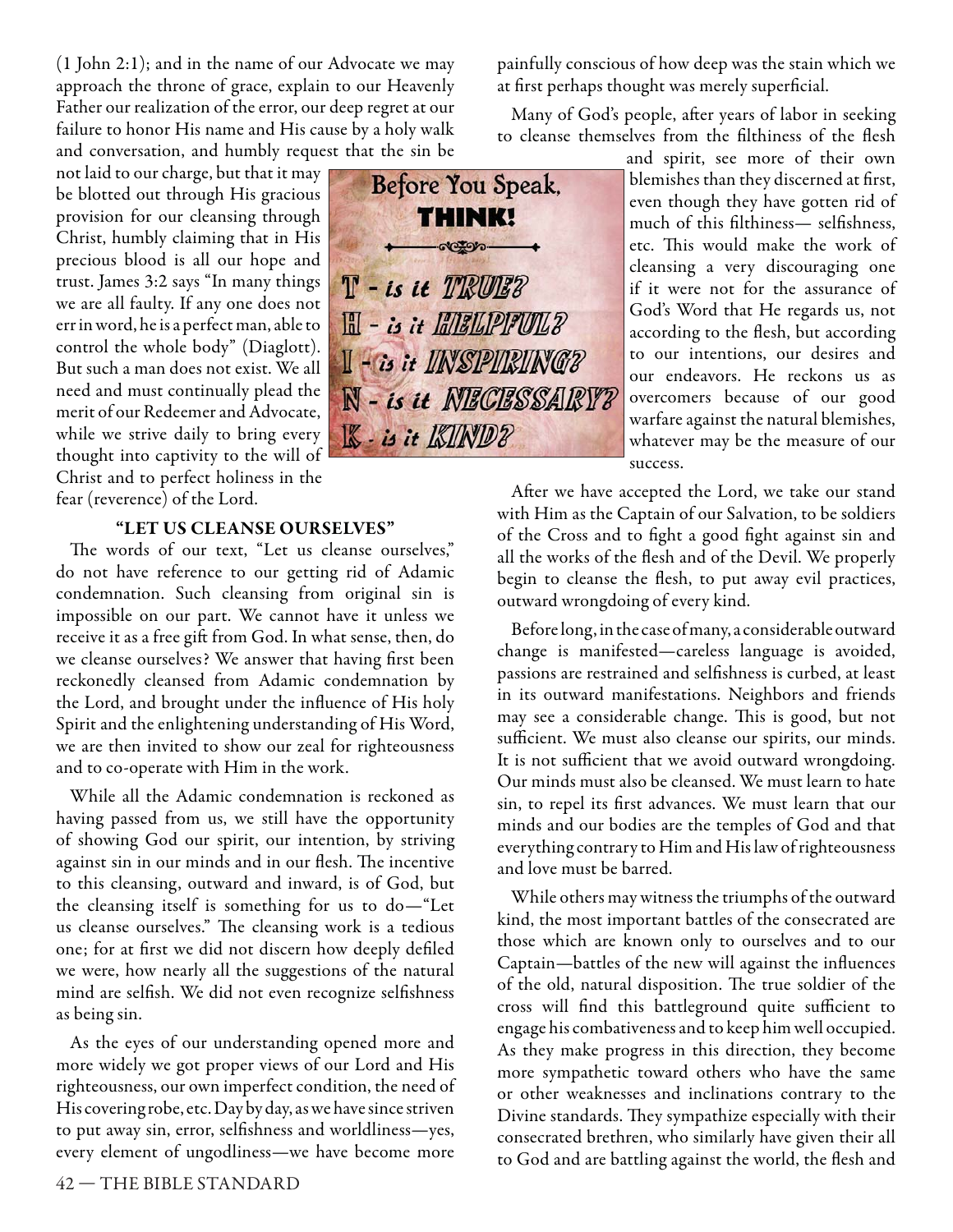(1 John 2:1); and in the name of our Advocate we may approach the throne of grace, explain to our Heavenly Father our realization of the error, our deep regret at our failure to honor His name and His cause by a holy walk and conversation, and humbly request that the sin be

not laid to our charge, but that it may be blotted out through His gracious provision for our cleansing through Christ, humbly claiming that in His precious blood is all our hope and trust. James 3:2 says "In many things we are all faulty. If any one does not err in word, he is a perfect man, able to control the whole body" (Diaglott). But such a man does not exist. We all need and must continually plead the merit of our Redeemer and Advocate, while we strive daily to bring every thought into captivity to the will of Christ and to perfect holiness in the fear (reverence) of the Lord.

#### **"LET US CLEANSE OURSELVES"**

The words of our text, "Let us cleanse ourselves," do not have reference to our getting rid of Adamic condemnation. Such cleansing from original sin is impossible on our part. We cannot have it unless we receive it as a free gift from God. In what sense, then, do we cleanse ourselves? We answer that having first been reckonedly cleansed from Adamic condemnation by the Lord, and brought under the influence of His holy Spirit and the enlightening understanding of His Word, we are then invited to show our zeal for righteousness and to co-operate with Him in the work.

While all the Adamic condemnation is reckoned as having passed from us, we still have the opportunity of showing God our spirit, our intention, by striving against sin in our minds and in our flesh. The incentive to this cleansing, outward and inward, is of God, but the cleansing itself is something for us to do—"Let us cleanse ourselves." The cleansing work is a tedious one; for at first we did not discern how deeply defiled we were, how nearly all the suggestions of the natural mind are selfish. We did not even recognize selfishness as being sin.

As the eyes of our understanding opened more and more widely we got proper views of our Lord and His righteousness, our own imperfect condition, the need of His covering robe, etc. Day by day, as we have since striven to put away sin, error, selfishness and worldliness-yes, every element of ungodliness—we have become more

painfully conscious of how deep was the stain which we at first perhaps thought was merely superficial.

Many of God's people, after years of labor in seeking to cleanse themselves from the filthiness of the flesh

and spirit, see more of their own blemishes than they discerned at first, even though they have gotten rid of much of this filthiness- selfishness, etc. This would make the work of cleansing a very discouraging one if it were not for the assurance of God's Word that He regards us, not according to the flesh, but according to our intentions, our desires and our endeavors. He reckons us as overcomers because of our good warfare against the natural blemishes, whatever may be the measure of our success.

After we have accepted the Lord, we take our stand with Him as the Captain of our Salvation, to be soldiers of the Cross and to fight a good fight against sin and all the works of the flesh and of the Devil. We properly begin to cleanse the flesh, to put away evil practices, outward wrongdoing of every kind.

Before long, in the case of many, a considerable outward change is manifested—careless language is avoided, passions are restrained and selfishness is curbed, at least in its outward manifestations. Neighbors and friends may see a considerable change. This is good, but not sufficient. We must also cleanse our spirits, our minds. It is not sufficient that we avoid outward wrongdoing. Our minds must also be cleansed. We must learn to hate sin, to repel its first advances. We must learn that our minds and our bodies are the temples of God and that everything contrary to Him and His law of righteousness and love must be barred.

While others may witness the triumphs of the outward kind, the most important battles of the consecrated are those which are known only to ourselves and to our Captain—battles of the new will against the influences of the old, natural disposition. The true soldier of the cross will find this battleground quite sufficient to engage his combativeness and to keep him well occupied. As they make progress in this direction, they become more sympathetic toward others who have the same or other weaknesses and inclinations contrary to the Divine standards. They sympathize especially with their consecrated brethren, who similarly have given their all to God and are battling against the world, the flesh and

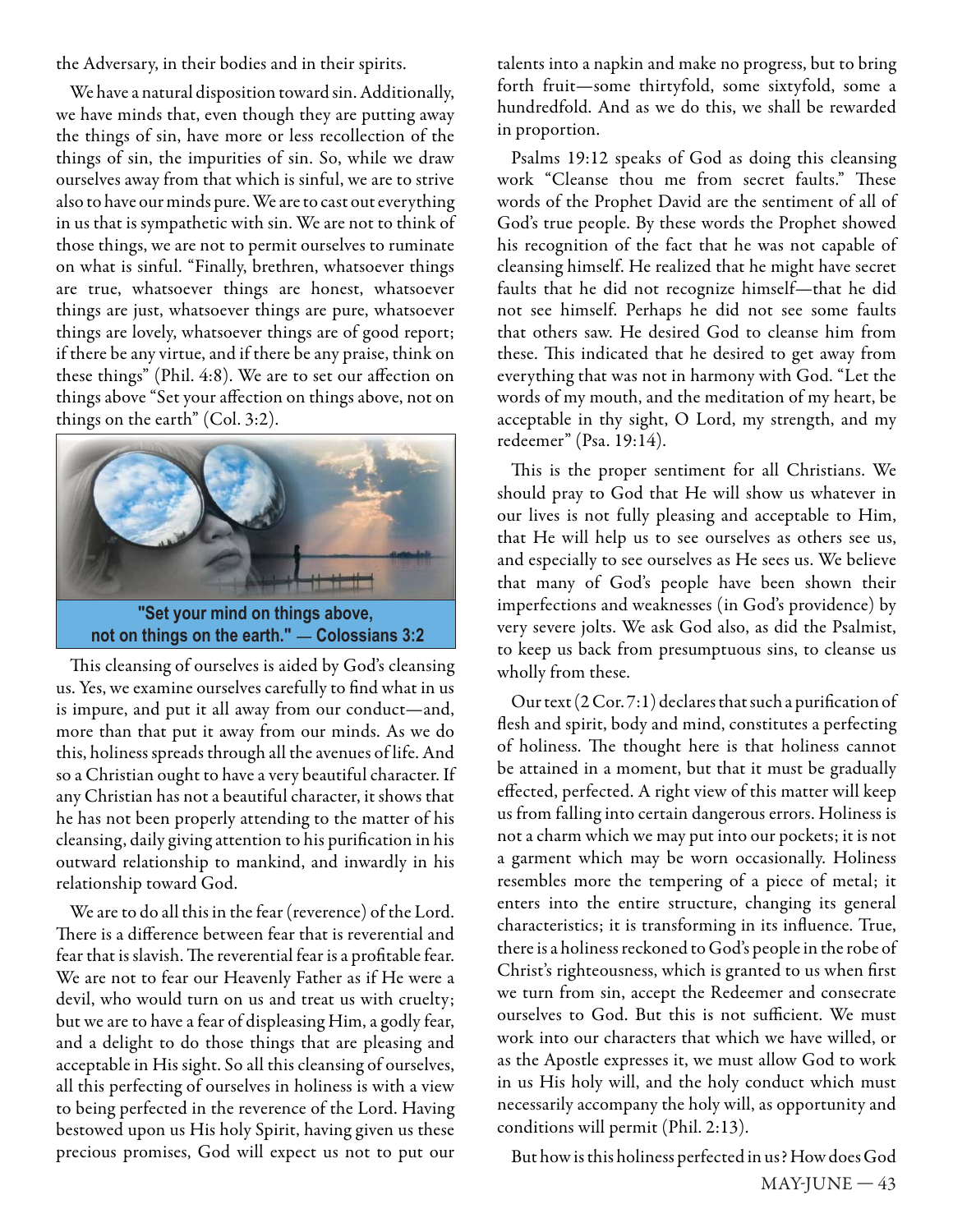the Adversary, in their bodies and in their spirits.

We have a natural disposition toward sin. Additionally, we have minds that, even though they are putting away the things of sin, have more or less recollection of the things of sin, the impurities of sin. So, while we draw ourselves away from that which is sinful, we are to strive also to have our minds pure. We are to cast out everything in us that is sympathetic with sin. We are not to think of those things, we are not to permit ourselves to ruminate on what is sinful. "Finally, brethren, whatsoever things are true, whatsoever things are honest, whatsoever things are just, whatsoever things are pure, whatsoever things are lovely, whatsoever things are of good report; if there be any virtue, and if there be any praise, think on these things" (Phil.  $4:8$ ). We are to set our affection on things above "Set your affection on things above, not on things on the earth" (Col. 3:2).



This cleansing of ourselves is aided by God's cleansing us. Yes, we examine ourselves carefully to find what in us is impure, and put it all away from our conduct—and, more than that put it away from our minds. As we do this, holiness spreads through all the avenues of life. And so a Christian ought to have a very beautiful character. If any Christian has not a beautiful character, it shows that he has not been properly attending to the matter of his cleansing, daily giving attention to his purification in his outward relationship to mankind, and inwardly in his relationship toward God.

We are to do all this in the fear (reverence) of the Lord. There is a difference between fear that is reverential and fear that is slavish. The reverential fear is a profitable fear. We are not to fear our Heavenly Father as if He were a devil, who would turn on us and treat us with cruelty; but we are to have a fear of displeasing Him, a godly fear, and a delight to do those things that are pleasing and acceptable in His sight. So all this cleansing of ourselves, all this perfecting of ourselves in holiness is with a view to being perfected in the reverence of the Lord. Having bestowed upon us His holy Spirit, having given us these precious promises, God will expect us not to put our

talents into a napkin and make no progress, but to bring forth fruit—some thirtyfold, some sixtyfold, some a hundredfold. And as we do this, we shall be rewarded in proportion.

Psalms 19:12 speaks of God as doing this cleansing work "Cleanse thou me from secret faults." These words of the Prophet David are the sentiment of all of God's true people. By these words the Prophet showed his recognition of the fact that he was not capable of cleansing himself. He realized that he might have secret faults that he did not recognize himself—that he did not see himself. Perhaps he did not see some faults that others saw. He desired God to cleanse him from these. This indicated that he desired to get away from everything that was not in harmony with God. "Let the words of my mouth, and the meditation of my heart, be acceptable in thy sight, O Lord, my strength, and my redeemer" (Psa. 19:14).

This is the proper sentiment for all Christians. We should pray to God that He will show us whatever in our lives is not fully pleasing and acceptable to Him, that He will help us to see ourselves as others see us, and especially to see ourselves as He sees us. We believe that many of God's people have been shown their imperfections and weaknesses (in God's providence) by very severe jolts. We ask God also, as did the Psalmist, to keep us back from presumptuous sins, to cleanse us wholly from these.

Our text  $(2$  Cor. 7:1) declares that such a purification of flesh and spirit, body and mind, constitutes a perfecting of holiness. The thought here is that holiness cannot be attained in a moment, but that it must be gradually effected, perfected. A right view of this matter will keep us from falling into certain dangerous errors. Holiness is not a charm which we may put into our pockets; it is not a garment which may be worn occasionally. Holiness resembles more the tempering of a piece of metal; it enters into the entire structure, changing its general characteristics; it is transforming in its influence. True, there is a holiness reckoned to God's people in the robe of Christ's righteousness, which is granted to us when first we turn from sin, accept the Redeemer and consecrate ourselves to God. But this is not sufficient. We must work into our characters that which we have willed, or as the Apostle expresses it, we must allow God to work in us His holy will, and the holy conduct which must necessarily accompany the holy will, as opportunity and conditions will permit (Phil. 2:13).

 $MAY-JUNE-43$ But how is this holiness perfected in us? How does God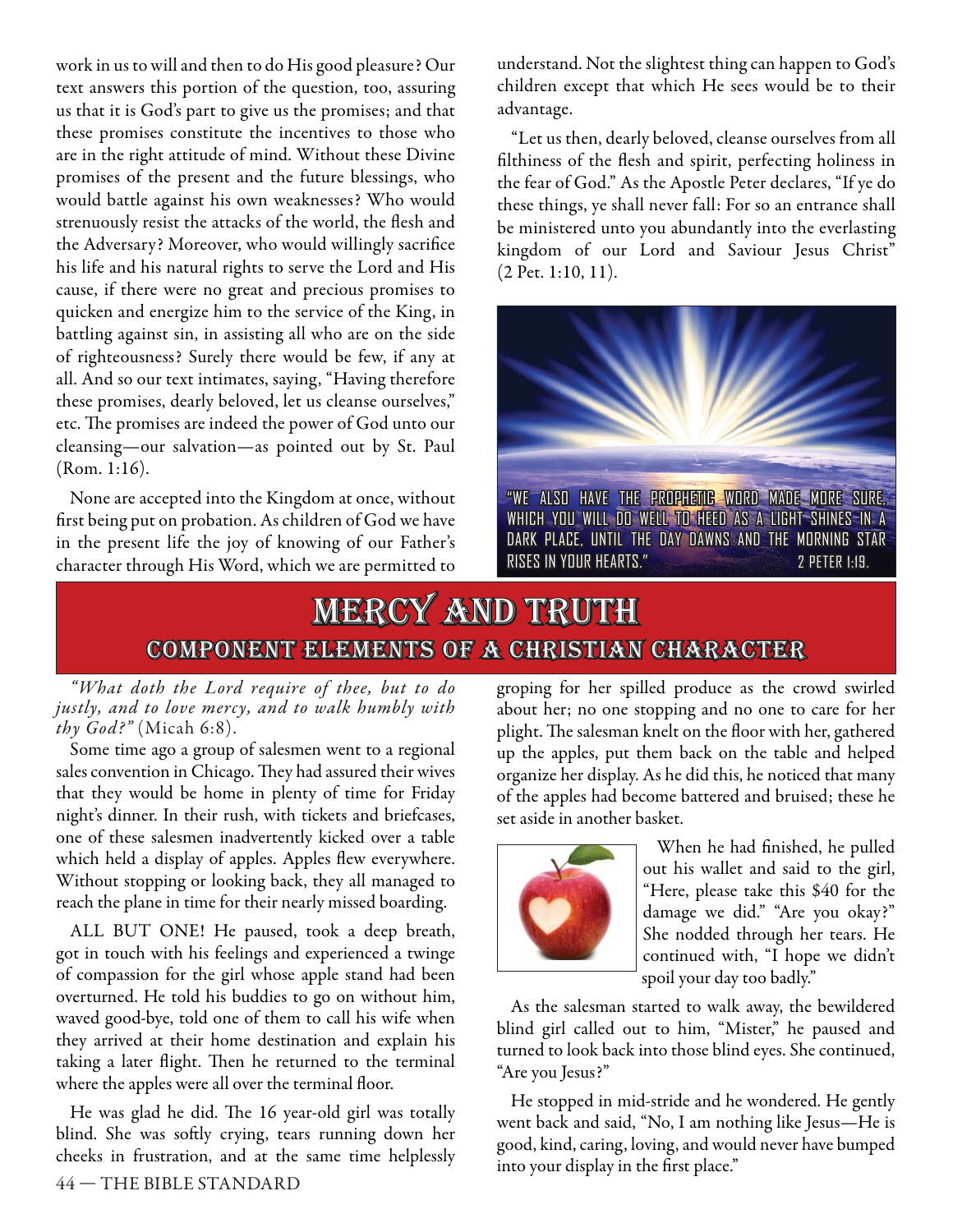work in us to will and then to do His good pleasure? Our text answers this portion of the question, too, assuring us that it is God's part to give us the promises; and that these promises constitute the incentives to those who are in the right attitude of mind. Without these Divine promises of the present and the future blessings, who would battle against his own weaknesses? Who would strenuously resist the attacks of the world, the flesh and the Adversary? Moreover, who would willingly sacrifice his life and his natural rights to serve the Lord and His cause, if there were no great and precious promises to quicken and energize him to the service of the King, in battling against sin, in assisting all who are on the side of righteousness? Surely there would be few, if any at all. And so our text intimates, saying, "Having therefore these promises, dearly beloved, let us cleanse ourselves," etc. The promises are indeed the power of God unto our cleansing—our salvation—as pointed out by St. Paul (Rom. 1:16).

None are accepted into the Kingdom at once, without first being put on probation. As children of God we have in the present life the joy of knowing of our Father's character through His Word, which we are permitted to

understand. Not the slightest thing can happen to God's children except that which He sees would be to their advantage.

"Let us then, dearly beloved, cleanse ourselves from all filthiness of the flesh and spirit, perfecting holiness in the fear of God." As the Apostle Peter declares, "If ye do these things, ye shall never fall: For so an entrance shall be ministered unto you abundantly into the everlasting kingdom of our Lord and Saviour Jesus Christ" (2 Pet. 1:10, 11).



## MERCY AND TRUTH component elements of a christian character

*" What doth the Lord require of thee, but to do justly, and to love mercy, and to walk humbly with thy God?"* (Micah 6:8).

Some time ago a group of salesmen went to a regional sales convention in Chicago. They had assured their wives that they would be home in plenty of time for Friday night's dinner. In their rush, with tickets and briefcases, one of these salesmen inadvertently kicked over a table which held a display of apples. Apples flew everywhere. Without stopping or looking back, they all managed to reach the plane in time for their nearly missed boarding.

ALL BUT ONE! He paused, took a deep breath, got in touch with his feelings and experienced a twinge of compassion for the girl whose apple stand had been overturned. He told his buddies to go on without him, waved good-bye, told one of them to call his wife when they arrived at their home destination and explain his taking a later flight. Then he returned to the terminal where the apples were all over the terminal floor.

44 — THE BIBLE STANDARD He was glad he did. The 16 year-old girl was totally blind. She was softly crying, tears running down her cheeks in frustration, and at the same time helplessly groping for her spilled produce as the crowd swirled about her; no one stopping and no one to care for her plight. The salesman knelt on the floor with her, gathered up the apples, put them back on the table and helped organize her display. As he did this, he noticed that many of the apples had become battered and bruised; these he set aside in another basket.



When he had finished, he pulled out his wallet and said to the girl, "Here, please take this \$40 for the damage we did." "Are you okay?" She nodded through her tears. He continued with, "I hope we didn't spoil your day too badly."

As the salesman started to walk away, the bewildered blind girl called out to him, "Mister," he paused and turned to look back into those blind eyes. She continued, "Are you Jesus?"

He stopped in mid-stride and he wondered. He gently went back and said, "No, I am nothing like Jesus—He is good, kind, caring, loving, and would never have bumped into your display in the first place."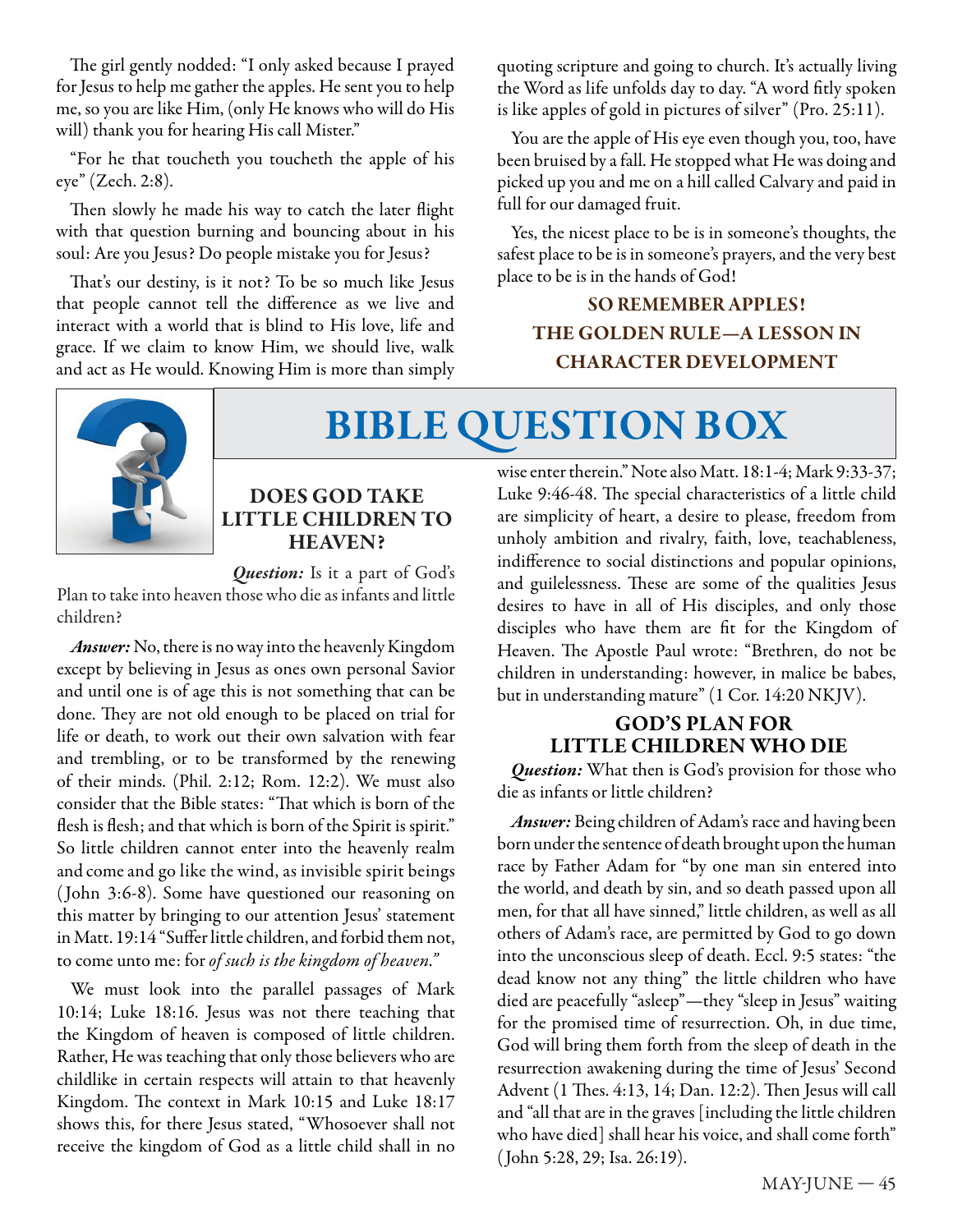The girl gently nodded: "I only asked because I prayed for Jesus to help me gather the apples. He sent you to help me, so you are like Him, (only He knows who will do His will) thank you for hearing His call Mister."

"For he that toucheth you toucheth the apple of his eye" (Zech. 2:8).

Then slowly he made his way to catch the later flight with that question burning and bouncing about in his soul: Are you Jesus? Do people mistake you for Jesus?

That's our destiny, is it not? To be so much like Jesus that people cannot tell the difference as we live and interact with a world that is blind to His love, life and grace. If we claim to know Him, we should live, walk and act as He would. Knowing Him is more than simply quoting scripture and going to church. It's actually living the Word as life unfolds day to day. "A word fitly spoken is like apples of gold in pictures of silver" (Pro. 25:11).

You are the apple of His eye even though you, too, have been bruised by a fall. He stopped what He was doing and picked up you and me on a hill called Calvary and paid in full for our damaged fruit.

Yes, the nicest place to be is in someone's thoughts, the safest place to be is in someone's prayers, and the very best place to be is in the hands of God!

#### **SO REMEMBER APPLES! THE GOLDEN RULE—A LESSON IN CHARACTER DEVELOPMENT**



# **BIBLE QUESTION BOX**

#### **DOES GOD TAKE LITTLE CHILDREN TO HEAVEN?**

*Question:* Is it a part of God's

Plan to take into heaven those who die as infants and little children?

*Answer:*No, there is no way into the heavenly Kingdom except by believing in Jesus as ones own personal Savior and until one is of age this is not something that can be done. They are not old enough to be placed on trial for life or death, to work out their own salvation with fear and trembling, or to be transformed by the renewing of their minds. (Phil. 2:12; Rom. 12:2). We must also consider that the Bible states: "That which is born of the flesh is flesh; and that which is born of the Spirit is spirit." So little children cannot enter into the heavenly realm and come and go like the wind, as invisible spirit beings ( John 3:6-8). Some have questioned our reasoning on this matter by bringing to our attention Jesus' statement in Matt. 19:14 "Suffer little children, and forbid them not, to come unto me: for of such is the kingdom of heaven."

We must look into the parallel passages of Mark 10:14; Luke 18:16. Jesus was not there teaching that the Kingdom of heaven is composed of little children. Rather, He was teaching that only those believers who are childlike in certain respects will attain to that heavenly Kingdom. The context in Mark 10:15 and Luke 18:17 shows this, for there Jesus stated, "Whosoever shall not receive the kingdom of God as a little child shall in no

wise enter therein." Note also Matt. 18:1-4; Mark 9:33-37; Luke 9:46-48. The special characteristics of a little child are simplicity of heart, a desire to please, freedom from unholy ambition and rivalry, faith, love, teachableness, indifference to social distinctions and popular opinions, and guilelessness. These are some of the qualities Jesus desires to have in all of His disciples, and only those disciples who have them are fit for the Kingdom of Heaven. The Apostle Paul wrote: "Brethren, do not be children in understanding: however, in malice be babes, but in understanding mature" (1 Cor. 14:20 NKJV).

#### **GOD'S PLAN FOR LITTLE CHILDREN WHO DIE**

*Question:* What then is God's provision for those who die as infants or little children?

*Answer:* Being children of Adam's race and having been born under the sentence of death brought upon the human race by Father Adam for "by one man sin entered into the world, and death by sin, and so death passed upon all men, for that all have sinned," little children, as well as all others of Adam's race, are permitted by God to go down into the unconscious sleep of death. Eccl. 9:5 states: "the dead know not any thing" the little children who have died are peacefully "asleep"—they "sleep in Jesus" waiting for the promised time of resurrection. Oh, in due time, God will bring them forth from the sleep of death in the resurrection awakening during the time of Jesus' Second Advent (1 Thes. 4:13, 14; Dan. 12:2). Then Jesus will call and "all that are in the graves [including the little children who have died] shall hear his voice, and shall come forth" ( John 5:28, 29; Isa. 26:19).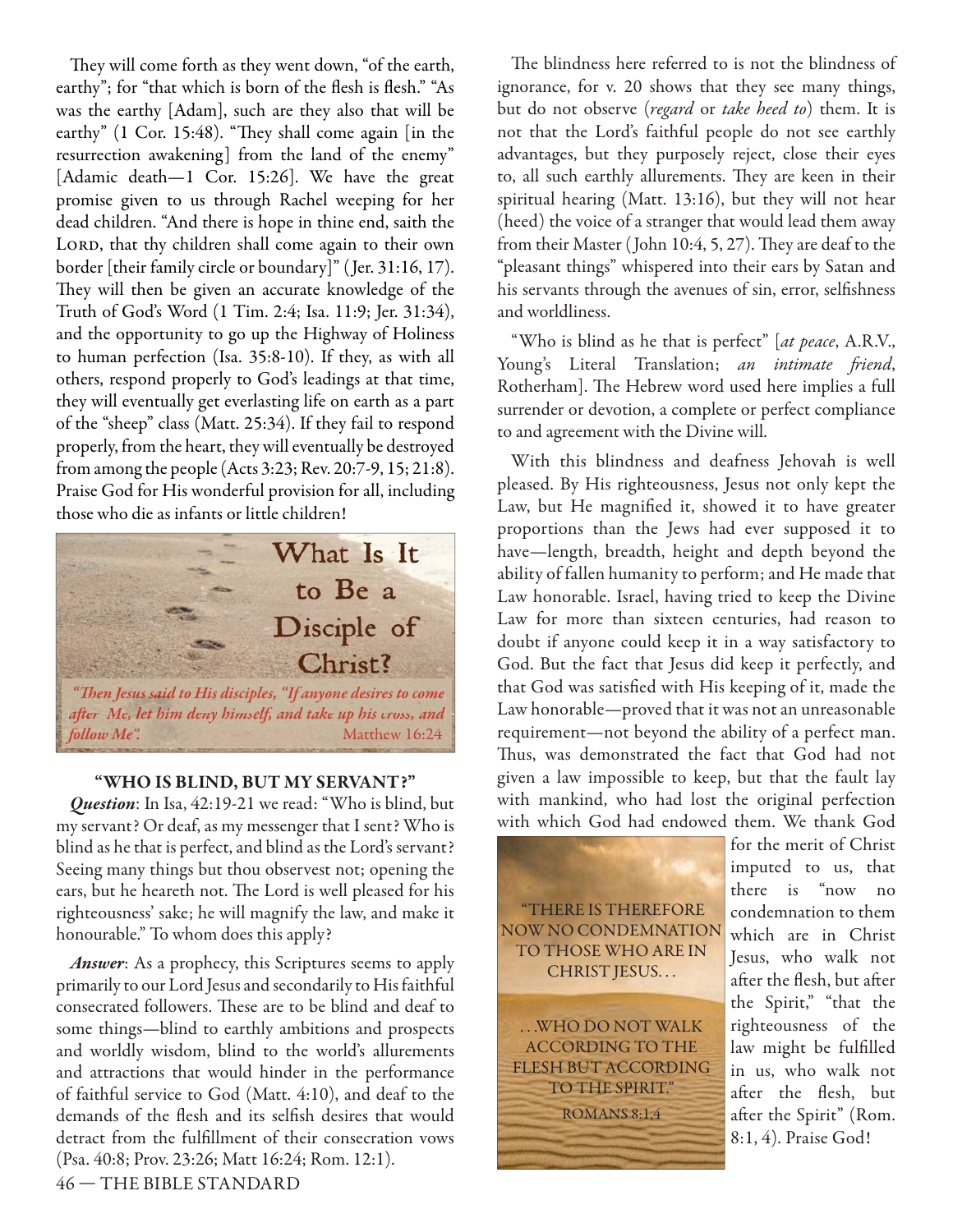They will come forth as they went down, "of the earth, earthy"; for "that which is born of the flesh is flesh." "As was the earthy [Adam], such are they also that will be earthy"  $(1 \text{ Cor. } 15:48)$ . "They shall come again [in the resurrection awakening] from the land of the enemy" [Adamic death—1 Cor. 15:26]. We have the great promise given to us through Rachel weeping for her dead children. "And there is hope in thine end, saith the LORD, that thy children shall come again to their own border [their family circle or boundary]" ( Jer. 31:16, 17). They will then be given an accurate knowledge of the Truth of God's Word (1 Tim. 2:4; Isa. 11:9; Jer. 31:34), and the opportunity to go up the Highway of Holiness to human perfection (Isa. 35:8-10). If they, as with all others, respond properly to God's leadings at that time, they will eventually get everlasting life on earth as a part of the "sheep" class (Matt. 25:34). If they fail to respond properly, from the heart, they will eventually be destroyed from among the people (Acts 3:23; Rev. 20:7-9, 15; 21:8). Praise God for His wonderful provision for all, including those who die as infants or little children!



#### **"WHO IS BLIND, BUT MY SERVANT?"**

*Question*: In Isa, 42:19-21 we read: "Who is blind, but my servant? Or deaf, as my messenger that I sent? Who is blind as he that is perfect, and blind as the Lord's servant? Seeing many things but thou observest not; opening the ears, but he heareth not. The Lord is well pleased for his righteousness' sake; he will magnify the law, and make it honourable." To whom does this apply?

46 — THE BIBLE STANDARD *Answer*: As a prophecy, this Scriptures seems to apply primarily to our Lord Jesus and secondarily to His faithful consecrated followers. These are to be blind and deaf to some things—blind to earthly ambitions and prospects and worldly wisdom, blind to the world's allurements and attractions that would hinder in the performance of faithful service to God (Matt. 4:10), and deaf to the demands of the flesh and its selfish desires that would detract from the fulfillment of their consecration vows (Psa. 40:8; Prov. 23:26; Matt 16:24; Rom. 12:1).

The blindness here referred to is not the blindness of ignorance, for v. 20 shows that they see many things, but do not observe (regard or take heed to) them. It is not that the Lord's faithful people do not see earthly advantages, but they purposely reject, close their eyes to, all such earthly allurements. They are keen in their spiritual hearing (Matt. 13:16), but they will not hear (heed) the voice of a stranger that would lead them away from their Master (John 10:4, 5, 27). They are deaf to the "pleasant things" whispered into their ears by Satan and his servants through the avenues of sin, error, selfishness and worldliness.

"Who is blind as he that is perfect" [at peace, A.R.V., Young's Literal Translation; an intimate friend, Rotherham]. The Hebrew word used here implies a full surrender or devotion, a complete or perfect compliance to and agreement with the Divine will.

With this blindness and deafness Jehovah is well pleased. By His righteousness, Jesus not only kept the Law, but He magnified it, showed it to have greater proportions than the Jews had ever supposed it to have—length, breadth, height and depth beyond the ability of fallen humanity to perform; and He made that Law honorable. Israel, having tried to keep the Divine Law for more than sixteen centuries, had reason to doubt if anyone could keep it in a way satisfactory to God. But the fact that Jesus did keep it perfectly, and that God was satisfied with His keeping of it, made the Law honorable—proved that it was not an unreasonable requirement—not beyond the ability of a perfect man. Thus, was demonstrated the fact that God had not given a law impossible to keep, but that the fault lay with mankind, who had lost the original perfection with which God had endowed them. We thank God



for the merit of Christ imputed to us, that there is "now no condemnation to them which are in Christ Jesus, who walk not after the flesh, but after the Spirit," "that the righteousness of the law might be fulfilled in us, who walk not after the flesh, but after the Spirit" (Rom. 8:1, 4). Praise God!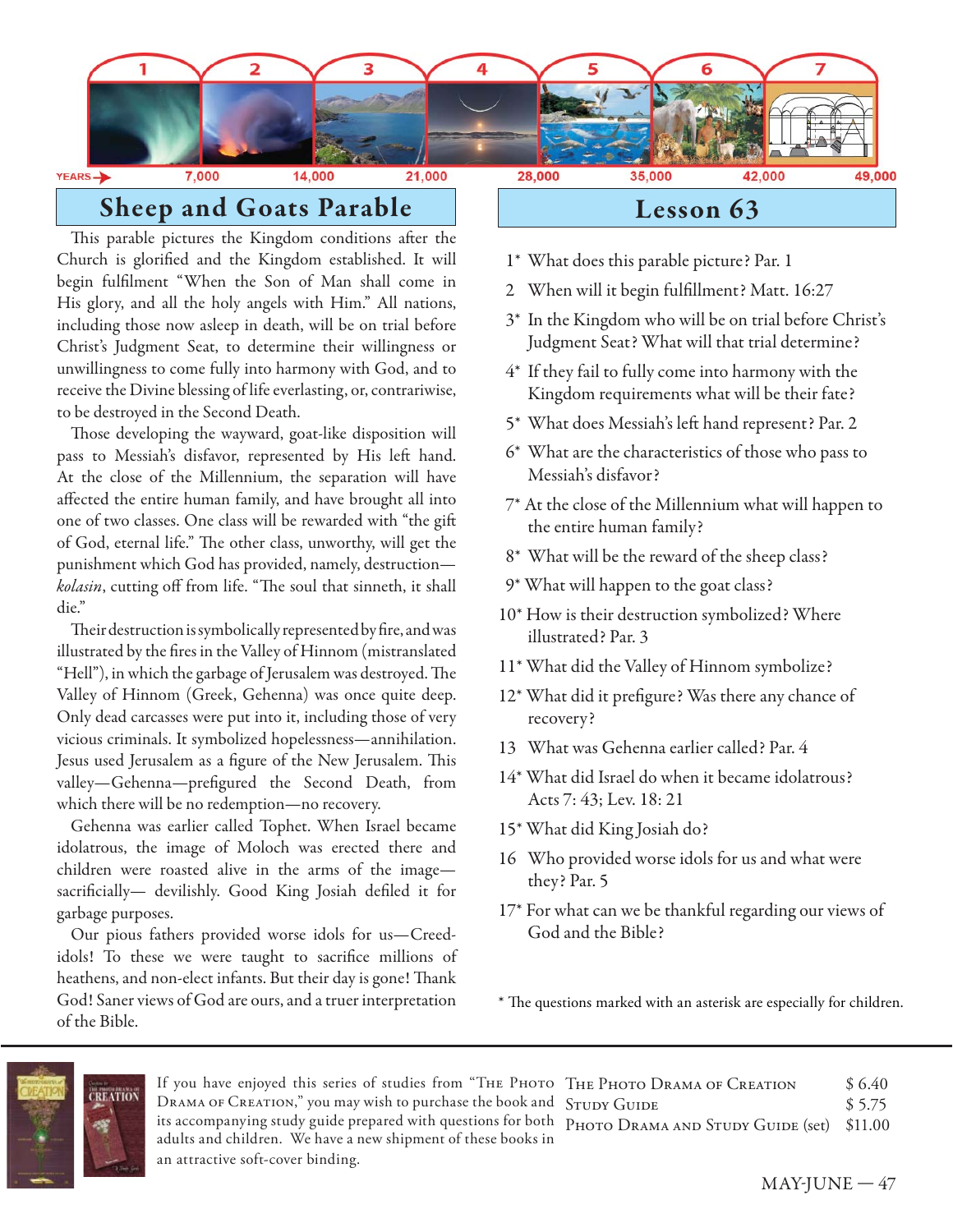

#### **Sheep and Goats Parable Lesson 63**

This parable pictures the Kingdom conditions after the Church is glorified and the Kingdom established. It will begin fulfilment "When the Son of Man shall come in His glory, and all the holy angels with Him." All nations, including those now asleep in death, will be on trial before Christ's Judgment Seat, to determine their willingness or unwillingness to come fully into harmony with God, and to receive the Divine blessing of life everlasting, or, contrariwise, to be destroyed in the Second Death.

Those developing the wayward, goat-like disposition will pass to Messiah's disfavor, represented by His left hand. At the close of the Millennium, the separation will have affected the entire human family, and have brought all into one of two classes. One class will be rewarded with "the gift of God, eternal life." The other class, unworthy, will get the punishment which God has provided, namely, destruction kolasin, cutting off from life. "The soul that sinneth, it shall die."

Their destruction is symbolically represented by fire, and was illustrated by the fires in the Valley of Hinnom (mistranslated "Hell"), in which the garbage of Jerusalem was destroyed. The Valley of Hinnom (Greek, Gehenna) was once quite deep. Only dead carcasses were put into it, including those of very vicious criminals. It symbolized hopelessness—annihilation. Jesus used Jerusalem as a figure of the New Jerusalem. This valley-Gehenna-prefigured the Second Death, from which there will be no redemption—no recovery.

Gehenna was earlier called Tophet. When Israel became idolatrous, the image of Moloch was erected there and children were roasted alive in the arms of the image sacrificially- devilishly. Good King Josiah defiled it for garbage purposes.

Our pious fathers provided worse idols for us—Creedidols! To these we were taught to sacrifice millions of heathens, and non-elect infants. But their day is gone! Thank God! Saner views of God are ours, and a truer interpretation of the Bible.

- 1\* What does this parable picture? Par. 1
- 2 When will it begin fulfillment? Matt. 16:27
- 3\* In the Kingdom who will be on trial before Christ's Judgment Seat? What will that trial determine?
- 4\* If they fail to fully come into harmony with the Kingdom requirements what will be their fate?
- 5\* What does Messiah's left hand represent? Par. 2
- 6\* What are the characteristics of those who pass to Messiah's disfavor?
- 7\* At the close of the Millennium what will happen to the entire human family?
- 8\* What will be the reward of the sheep class?
- 9\* What will happen to the goat class?
- 10\* How is their destruction symbolized? Where illustrated? Par. 3
- 11\* What did the Valley of Hinnom symbolize?
- 12\* What did it prefigure? Was there any chance of recovery?
- 13 What was Gehenna earlier called? Par. 4
- 14\* What did Israel do when it became idolatrous? Acts 7: 43; Lev. 18: 21
- 15\* What did King Josiah do?
- 16 Who provided worse idols for us and what were they? Par. 5
- 17\* For what can we be thankful regarding our views of God and the Bible?

\* The questions marked with an asterisk are especially for children.



If you have enjoyed this series of studies from "The Photo The Photo Drama of Creation \$ 6.40 DRAMA OF CREATION," you may wish to purchase the book and STUDY GUIDE its accompanying study guide prepared with questions for both adults and children. We have a new shipment of these books in an attractive soft-cover binding. STUDY GUIDE \$5.75 Photo Drama and Study Guide (set) \$11.00